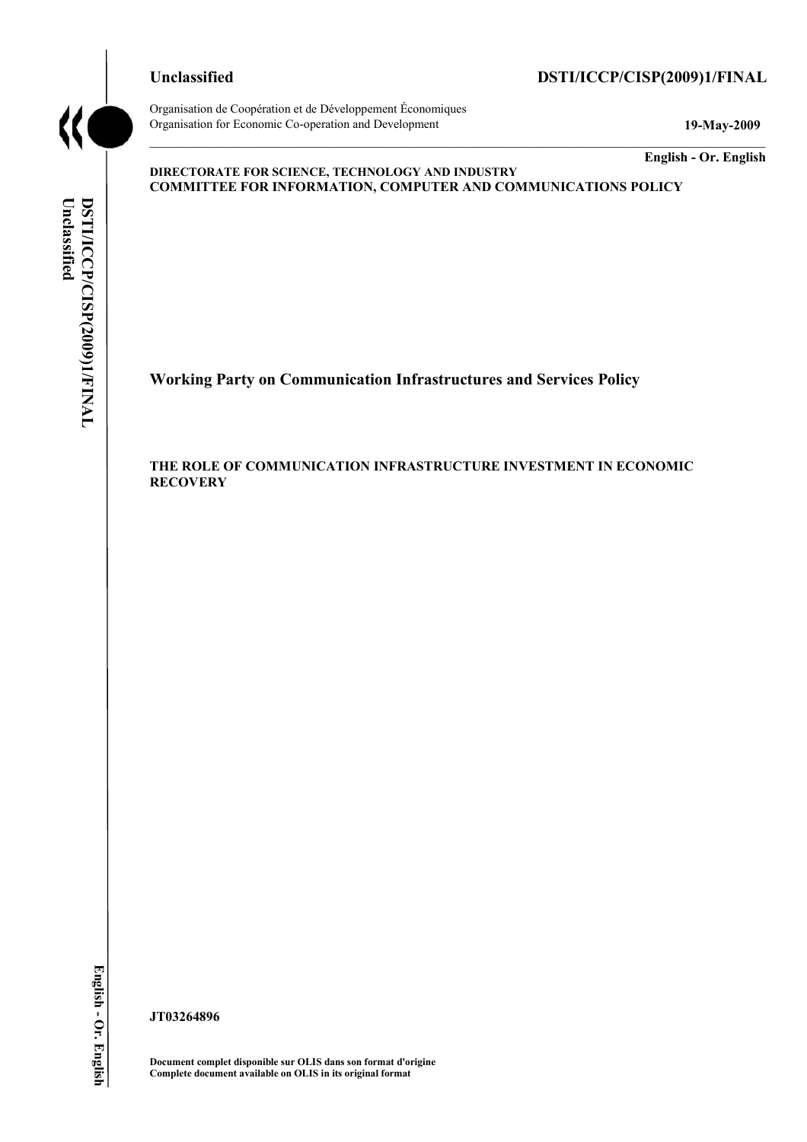# **Unclassified DSTI/ICCP/CISP(2009)1/FINAL**

Organisation de Coopération et de Développement Économiques Organisation for Economic Co-operation and Development **19-May-2009** 

**English - Or. English** 

## **DIRECTORATE FOR SCIENCE, TECHNOLOGY AND INDUSTRY COMMITTEE FOR INFORMATION, COMPUTER AND COMMUNICATIONS POLICY**

**Working Party on Communication Infrastructures and Services Policy** 

**THE ROLE OF COMMUNICATION INFRASTRUCTURE INVESTMENT IN ECONOMIC RECOVERY** 

**JT03264896** 

**Document complet disponible sur OLIS dans son format d'origine Complete document available on OLIS in its original format**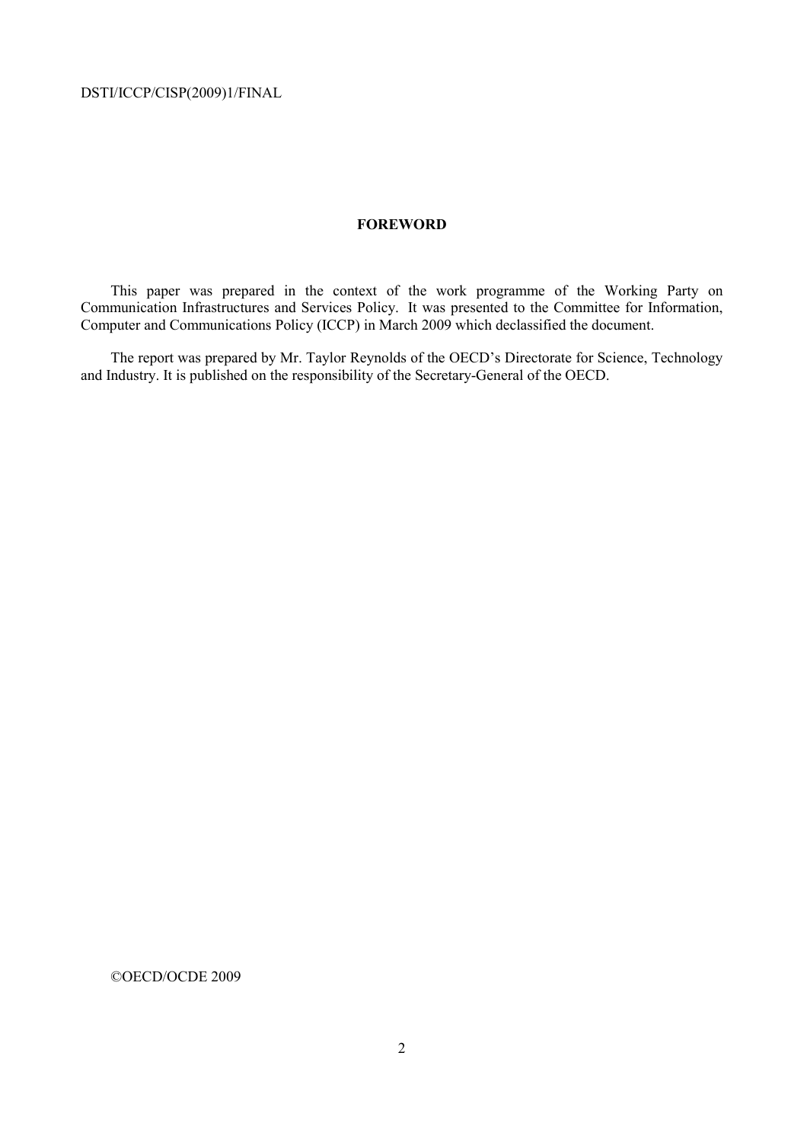## **FOREWORD**

This paper was prepared in the context of the work programme of the Working Party on Communication Infrastructures and Services Policy. It was presented to the Committee for Information, Computer and Communications Policy (ICCP) in March 2009 which declassified the document.

The report was prepared by Mr. Taylor Reynolds of the OECD's Directorate for Science, Technology and Industry. It is published on the responsibility of the Secretary-General of the OECD.

©OECD/OCDE 2009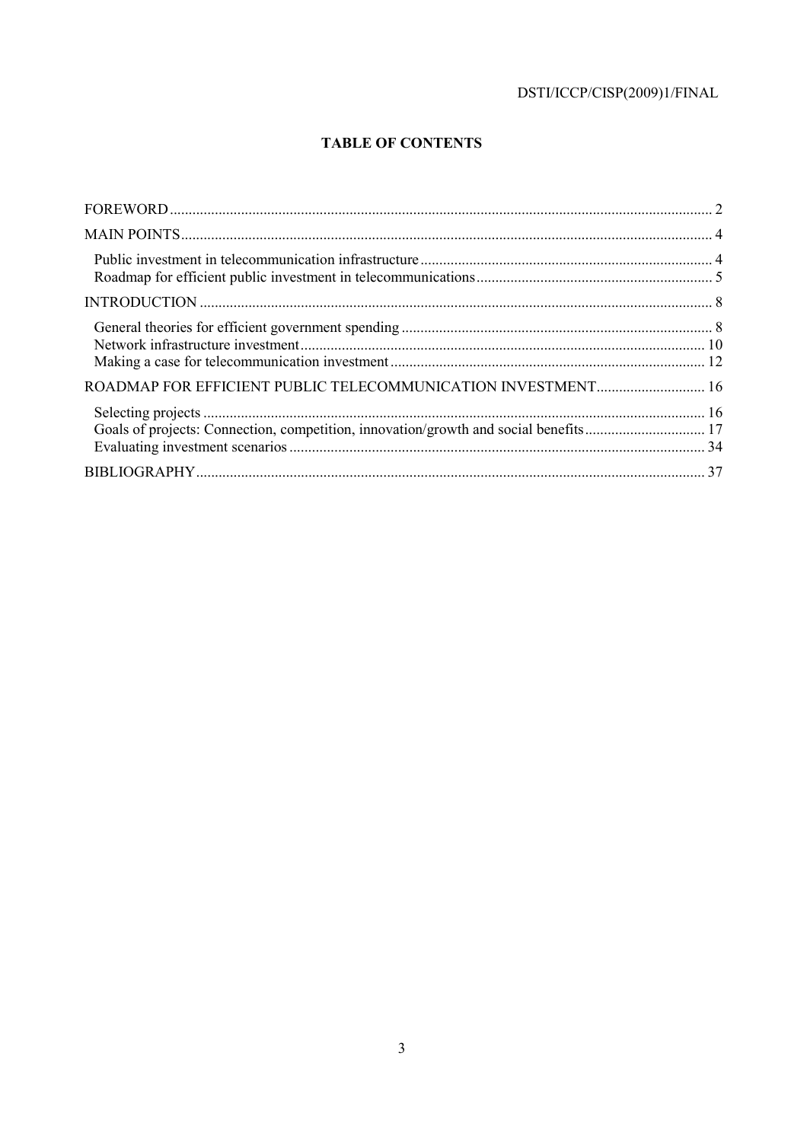# **TABLE OF CONTENTS**

| ROADMAP FOR EFFICIENT PUBLIC TELECOMMUNICATION INVESTMENT 16                         |  |
|--------------------------------------------------------------------------------------|--|
| Goals of projects: Connection, competition, innovation/growth and social benefits 17 |  |
|                                                                                      |  |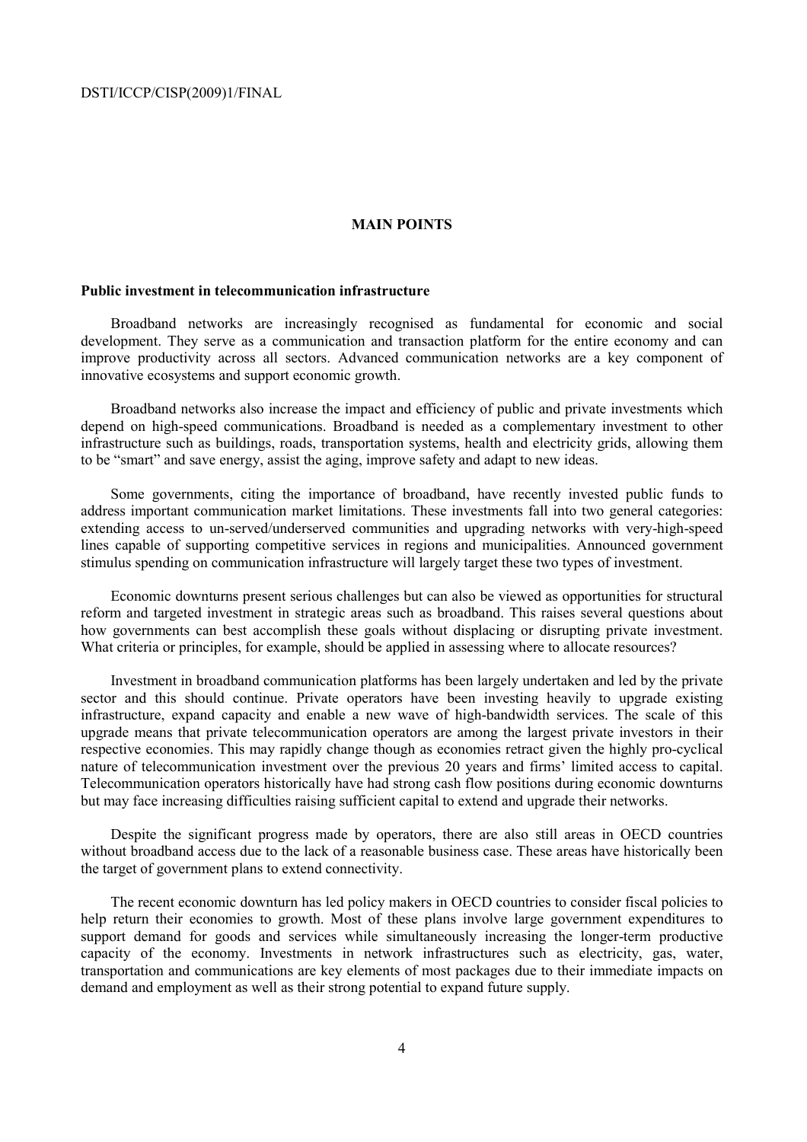## **MAIN POINTS**

## **Public investment in telecommunication infrastructure**

Broadband networks are increasingly recognised as fundamental for economic and social development. They serve as a communication and transaction platform for the entire economy and can improve productivity across all sectors. Advanced communication networks are a key component of innovative ecosystems and support economic growth.

Broadband networks also increase the impact and efficiency of public and private investments which depend on high-speed communications. Broadband is needed as a complementary investment to other infrastructure such as buildings, roads, transportation systems, health and electricity grids, allowing them to be "smart" and save energy, assist the aging, improve safety and adapt to new ideas.

Some governments, citing the importance of broadband, have recently invested public funds to address important communication market limitations. These investments fall into two general categories: extending access to un-served/underserved communities and upgrading networks with very-high-speed lines capable of supporting competitive services in regions and municipalities. Announced government stimulus spending on communication infrastructure will largely target these two types of investment.

Economic downturns present serious challenges but can also be viewed as opportunities for structural reform and targeted investment in strategic areas such as broadband. This raises several questions about how governments can best accomplish these goals without displacing or disrupting private investment. What criteria or principles, for example, should be applied in assessing where to allocate resources?

Investment in broadband communication platforms has been largely undertaken and led by the private sector and this should continue. Private operators have been investing heavily to upgrade existing infrastructure, expand capacity and enable a new wave of high-bandwidth services. The scale of this upgrade means that private telecommunication operators are among the largest private investors in their respective economies. This may rapidly change though as economies retract given the highly pro-cyclical nature of telecommunication investment over the previous 20 years and firms' limited access to capital. Telecommunication operators historically have had strong cash flow positions during economic downturns but may face increasing difficulties raising sufficient capital to extend and upgrade their networks.

Despite the significant progress made by operators, there are also still areas in OECD countries without broadband access due to the lack of a reasonable business case. These areas have historically been the target of government plans to extend connectivity.

The recent economic downturn has led policy makers in OECD countries to consider fiscal policies to help return their economies to growth. Most of these plans involve large government expenditures to support demand for goods and services while simultaneously increasing the longer-term productive capacity of the economy. Investments in network infrastructures such as electricity, gas, water, transportation and communications are key elements of most packages due to their immediate impacts on demand and employment as well as their strong potential to expand future supply.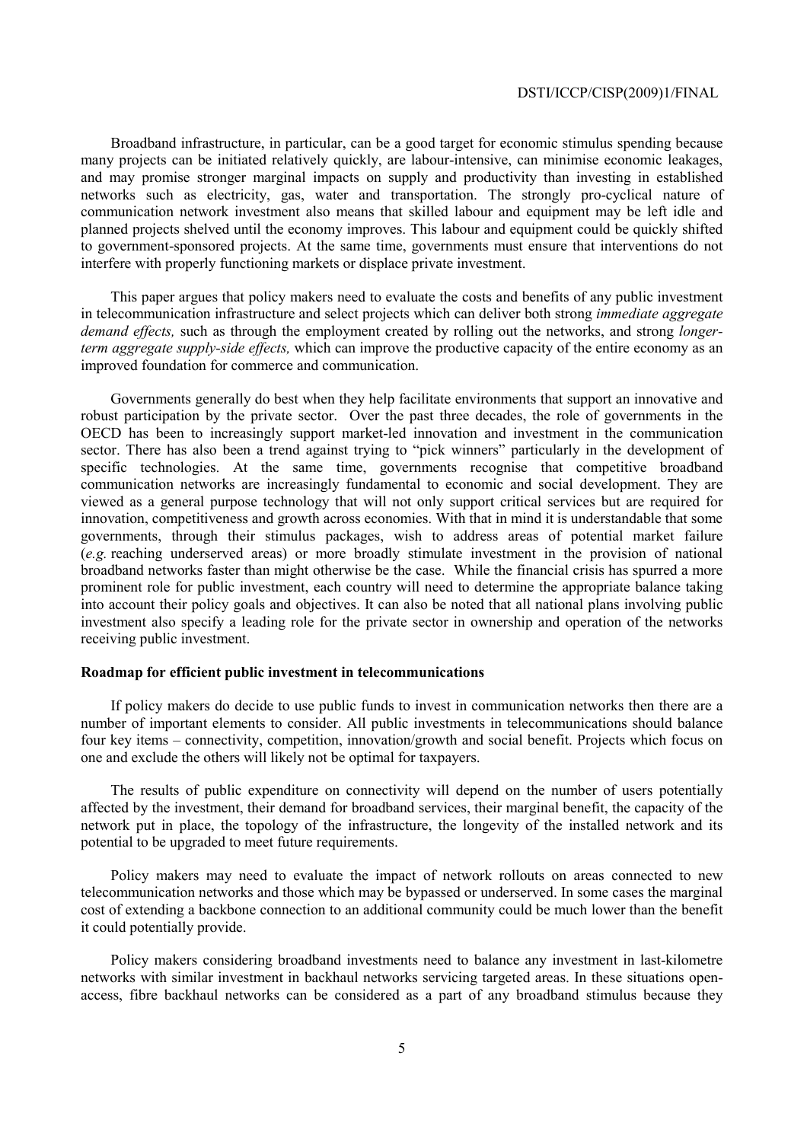Broadband infrastructure, in particular, can be a good target for economic stimulus spending because many projects can be initiated relatively quickly, are labour-intensive, can minimise economic leakages, and may promise stronger marginal impacts on supply and productivity than investing in established networks such as electricity, gas, water and transportation. The strongly pro-cyclical nature of communication network investment also means that skilled labour and equipment may be left idle and planned projects shelved until the economy improves. This labour and equipment could be quickly shifted to government-sponsored projects. At the same time, governments must ensure that interventions do not interfere with properly functioning markets or displace private investment.

This paper argues that policy makers need to evaluate the costs and benefits of any public investment in telecommunication infrastructure and select projects which can deliver both strong *immediate aggregate demand effects,* such as through the employment created by rolling out the networks, and strong *longerterm aggregate supply-side effects,* which can improve the productive capacity of the entire economy as an improved foundation for commerce and communication.

Governments generally do best when they help facilitate environments that support an innovative and robust participation by the private sector. Over the past three decades, the role of governments in the OECD has been to increasingly support market-led innovation and investment in the communication sector. There has also been a trend against trying to "pick winners" particularly in the development of specific technologies. At the same time, governments recognise that competitive broadband communication networks are increasingly fundamental to economic and social development. They are viewed as a general purpose technology that will not only support critical services but are required for innovation, competitiveness and growth across economies. With that in mind it is understandable that some governments, through their stimulus packages, wish to address areas of potential market failure (*e.g.* reaching underserved areas) or more broadly stimulate investment in the provision of national broadband networks faster than might otherwise be the case. While the financial crisis has spurred a more prominent role for public investment, each country will need to determine the appropriate balance taking into account their policy goals and objectives. It can also be noted that all national plans involving public investment also specify a leading role for the private sector in ownership and operation of the networks receiving public investment.

## **Roadmap for efficient public investment in telecommunications**

If policy makers do decide to use public funds to invest in communication networks then there are a number of important elements to consider. All public investments in telecommunications should balance four key items – connectivity, competition, innovation/growth and social benefit. Projects which focus on one and exclude the others will likely not be optimal for taxpayers.

The results of public expenditure on connectivity will depend on the number of users potentially affected by the investment, their demand for broadband services, their marginal benefit, the capacity of the network put in place, the topology of the infrastructure, the longevity of the installed network and its potential to be upgraded to meet future requirements.

Policy makers may need to evaluate the impact of network rollouts on areas connected to new telecommunication networks and those which may be bypassed or underserved. In some cases the marginal cost of extending a backbone connection to an additional community could be much lower than the benefit it could potentially provide.

Policy makers considering broadband investments need to balance any investment in last-kilometre networks with similar investment in backhaul networks servicing targeted areas. In these situations openaccess, fibre backhaul networks can be considered as a part of any broadband stimulus because they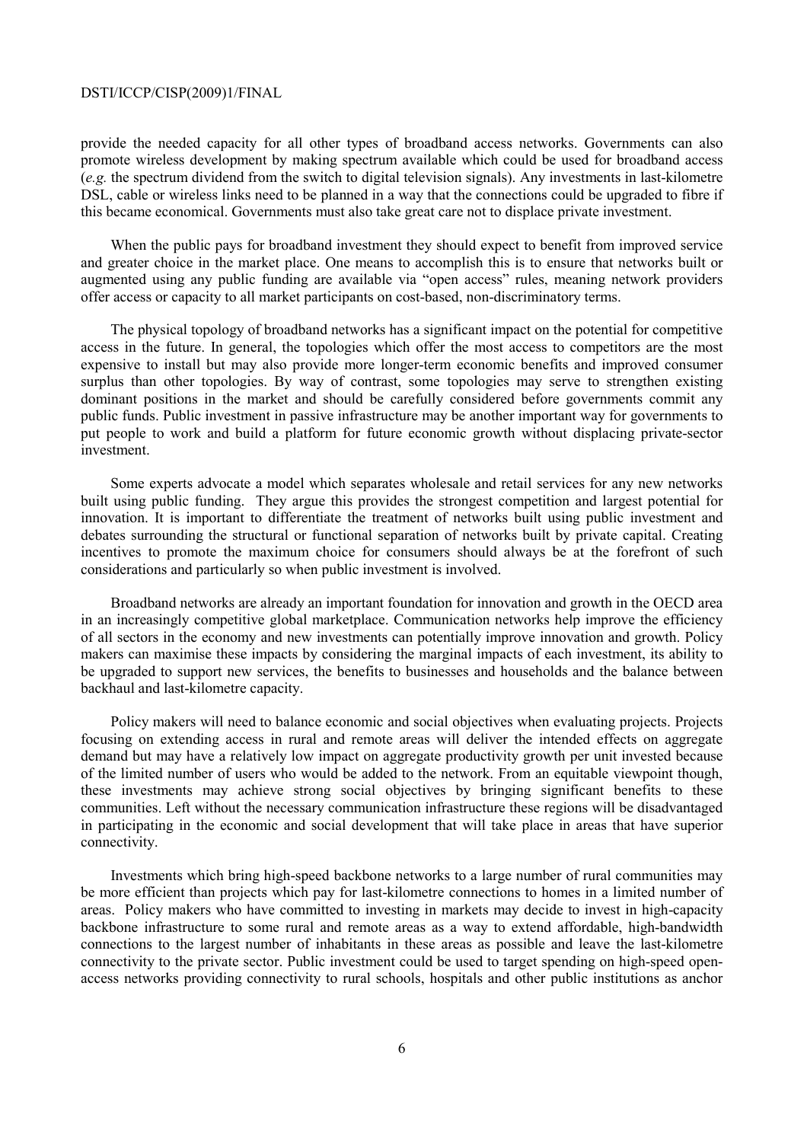provide the needed capacity for all other types of broadband access networks. Governments can also promote wireless development by making spectrum available which could be used for broadband access (*e.g.* the spectrum dividend from the switch to digital television signals). Any investments in last-kilometre DSL, cable or wireless links need to be planned in a way that the connections could be upgraded to fibre if this became economical. Governments must also take great care not to displace private investment.

When the public pays for broadband investment they should expect to benefit from improved service and greater choice in the market place. One means to accomplish this is to ensure that networks built or augmented using any public funding are available via "open access" rules, meaning network providers offer access or capacity to all market participants on cost-based, non-discriminatory terms.

The physical topology of broadband networks has a significant impact on the potential for competitive access in the future. In general, the topologies which offer the most access to competitors are the most expensive to install but may also provide more longer-term economic benefits and improved consumer surplus than other topologies. By way of contrast, some topologies may serve to strengthen existing dominant positions in the market and should be carefully considered before governments commit any public funds. Public investment in passive infrastructure may be another important way for governments to put people to work and build a platform for future economic growth without displacing private-sector investment.

Some experts advocate a model which separates wholesale and retail services for any new networks built using public funding. They argue this provides the strongest competition and largest potential for innovation. It is important to differentiate the treatment of networks built using public investment and debates surrounding the structural or functional separation of networks built by private capital. Creating incentives to promote the maximum choice for consumers should always be at the forefront of such considerations and particularly so when public investment is involved.

Broadband networks are already an important foundation for innovation and growth in the OECD area in an increasingly competitive global marketplace. Communication networks help improve the efficiency of all sectors in the economy and new investments can potentially improve innovation and growth. Policy makers can maximise these impacts by considering the marginal impacts of each investment, its ability to be upgraded to support new services, the benefits to businesses and households and the balance between backhaul and last-kilometre capacity.

Policy makers will need to balance economic and social objectives when evaluating projects. Projects focusing on extending access in rural and remote areas will deliver the intended effects on aggregate demand but may have a relatively low impact on aggregate productivity growth per unit invested because of the limited number of users who would be added to the network. From an equitable viewpoint though, these investments may achieve strong social objectives by bringing significant benefits to these communities. Left without the necessary communication infrastructure these regions will be disadvantaged in participating in the economic and social development that will take place in areas that have superior connectivity.

Investments which bring high-speed backbone networks to a large number of rural communities may be more efficient than projects which pay for last-kilometre connections to homes in a limited number of areas. Policy makers who have committed to investing in markets may decide to invest in high-capacity backbone infrastructure to some rural and remote areas as a way to extend affordable, high-bandwidth connections to the largest number of inhabitants in these areas as possible and leave the last-kilometre connectivity to the private sector. Public investment could be used to target spending on high-speed openaccess networks providing connectivity to rural schools, hospitals and other public institutions as anchor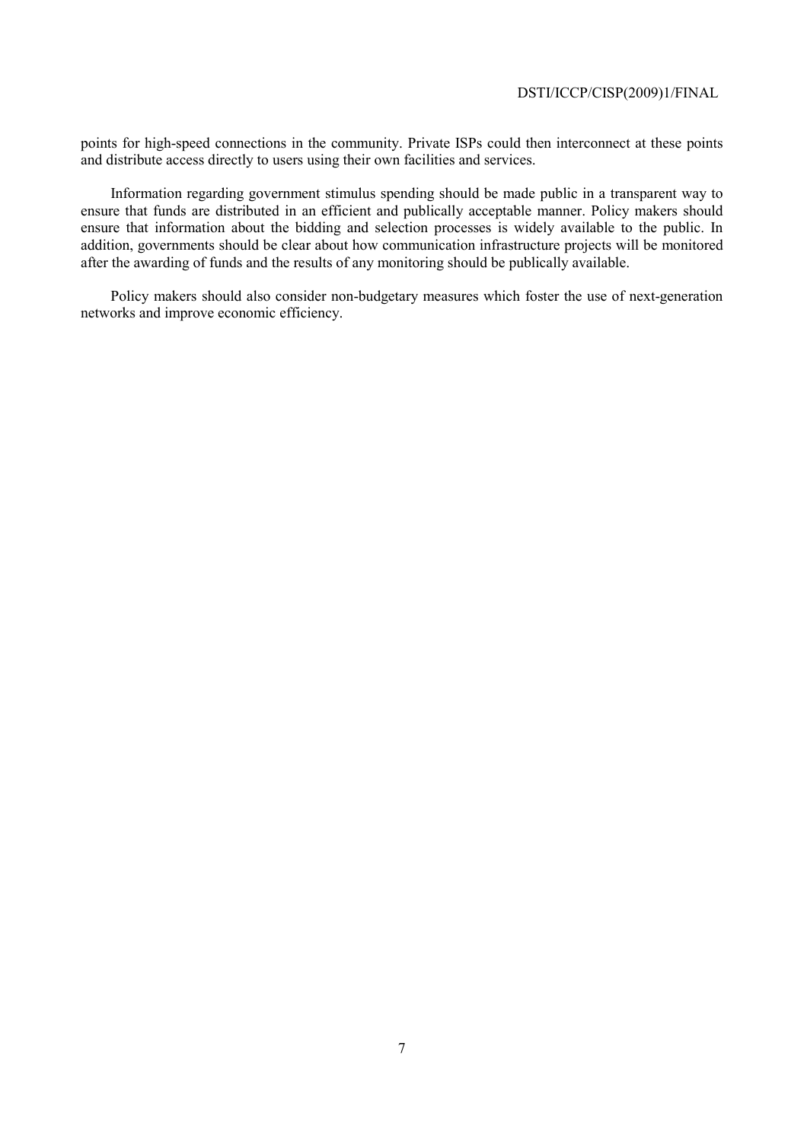points for high-speed connections in the community. Private ISPs could then interconnect at these points and distribute access directly to users using their own facilities and services.

Information regarding government stimulus spending should be made public in a transparent way to ensure that funds are distributed in an efficient and publically acceptable manner. Policy makers should ensure that information about the bidding and selection processes is widely available to the public. In addition, governments should be clear about how communication infrastructure projects will be monitored after the awarding of funds and the results of any monitoring should be publically available.

Policy makers should also consider non-budgetary measures which foster the use of next-generation networks and improve economic efficiency.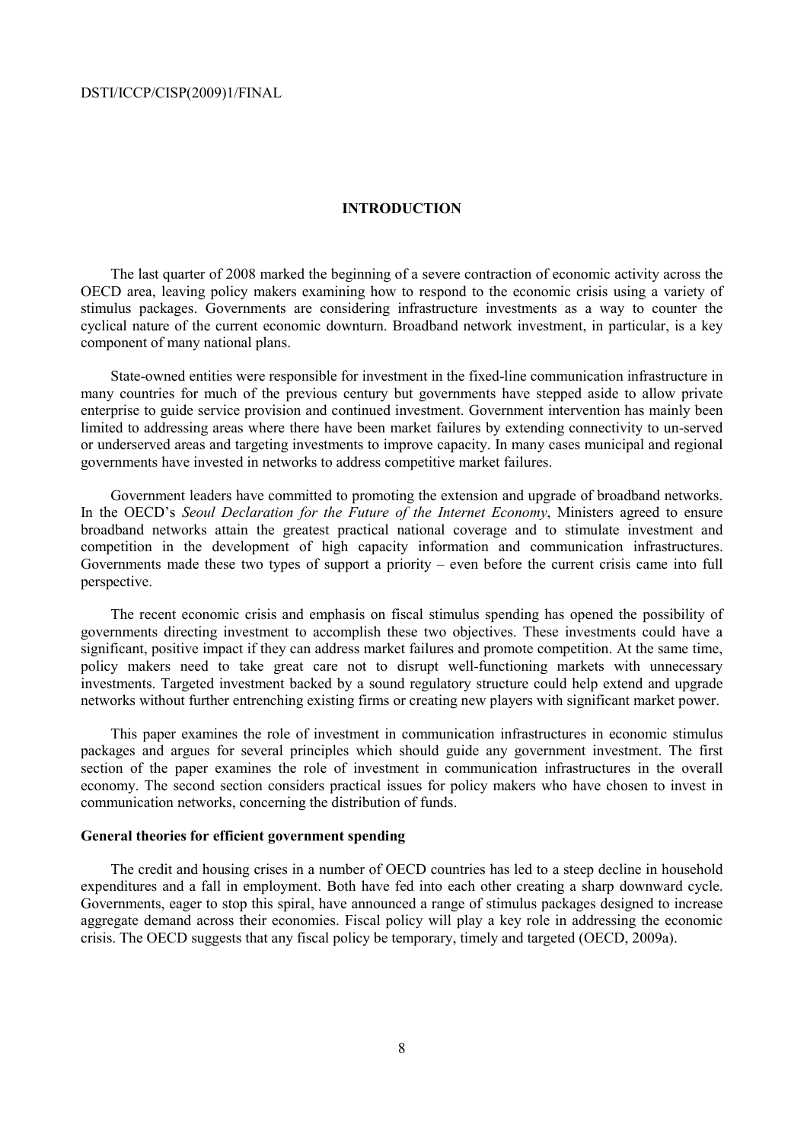## **INTRODUCTION**

The last quarter of 2008 marked the beginning of a severe contraction of economic activity across the OECD area, leaving policy makers examining how to respond to the economic crisis using a variety of stimulus packages. Governments are considering infrastructure investments as a way to counter the cyclical nature of the current economic downturn. Broadband network investment, in particular, is a key component of many national plans.

State-owned entities were responsible for investment in the fixed-line communication infrastructure in many countries for much of the previous century but governments have stepped aside to allow private enterprise to guide service provision and continued investment. Government intervention has mainly been limited to addressing areas where there have been market failures by extending connectivity to un-served or underserved areas and targeting investments to improve capacity. In many cases municipal and regional governments have invested in networks to address competitive market failures.

Government leaders have committed to promoting the extension and upgrade of broadband networks. In the OECD's *Seoul Declaration for the Future of the Internet Economy*, Ministers agreed to ensure broadband networks attain the greatest practical national coverage and to stimulate investment and competition in the development of high capacity information and communication infrastructures. Governments made these two types of support a priority – even before the current crisis came into full perspective.

The recent economic crisis and emphasis on fiscal stimulus spending has opened the possibility of governments directing investment to accomplish these two objectives. These investments could have a significant, positive impact if they can address market failures and promote competition. At the same time, policy makers need to take great care not to disrupt well-functioning markets with unnecessary investments. Targeted investment backed by a sound regulatory structure could help extend and upgrade networks without further entrenching existing firms or creating new players with significant market power.

This paper examines the role of investment in communication infrastructures in economic stimulus packages and argues for several principles which should guide any government investment. The first section of the paper examines the role of investment in communication infrastructures in the overall economy. The second section considers practical issues for policy makers who have chosen to invest in communication networks, concerning the distribution of funds.

## **General theories for efficient government spending**

The credit and housing crises in a number of OECD countries has led to a steep decline in household expenditures and a fall in employment. Both have fed into each other creating a sharp downward cycle. Governments, eager to stop this spiral, have announced a range of stimulus packages designed to increase aggregate demand across their economies. Fiscal policy will play a key role in addressing the economic crisis. The OECD suggests that any fiscal policy be temporary, timely and targeted (OECD, 2009a).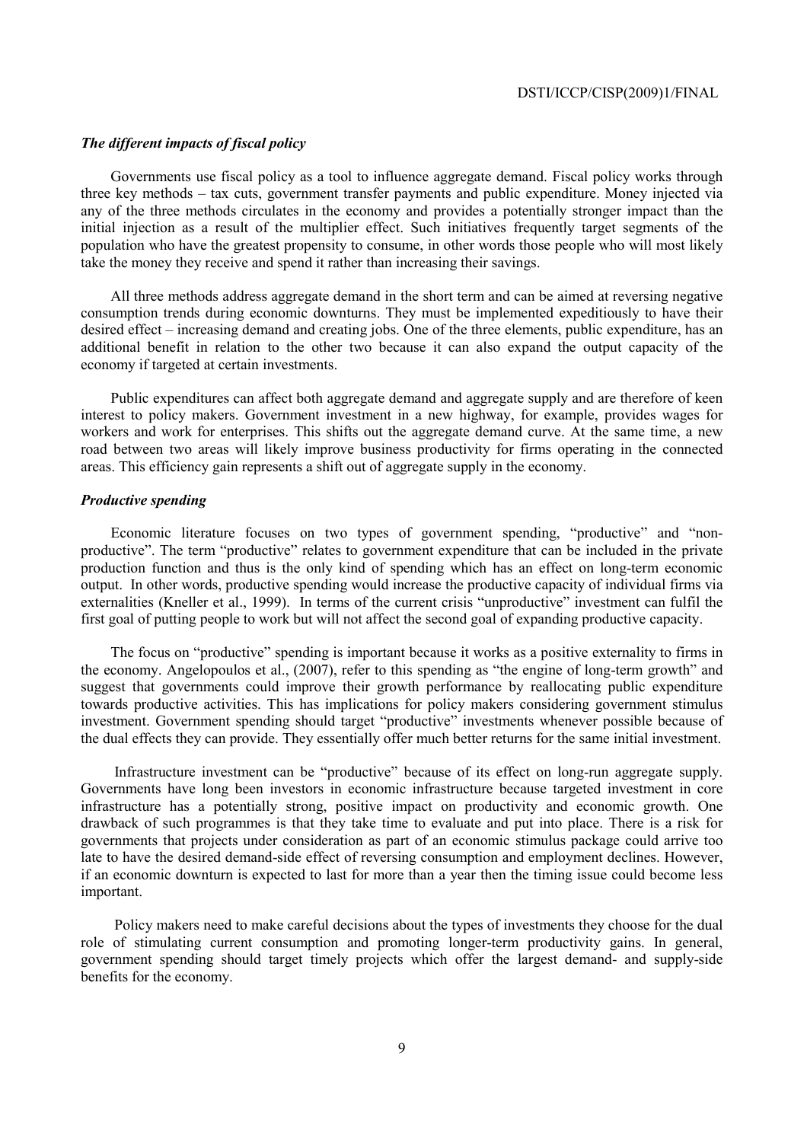## *The different impacts of fiscal policy*

Governments use fiscal policy as a tool to influence aggregate demand. Fiscal policy works through three key methods – tax cuts, government transfer payments and public expenditure. Money injected via any of the three methods circulates in the economy and provides a potentially stronger impact than the initial injection as a result of the multiplier effect. Such initiatives frequently target segments of the population who have the greatest propensity to consume, in other words those people who will most likely take the money they receive and spend it rather than increasing their savings.

All three methods address aggregate demand in the short term and can be aimed at reversing negative consumption trends during economic downturns. They must be implemented expeditiously to have their desired effect – increasing demand and creating jobs. One of the three elements, public expenditure, has an additional benefit in relation to the other two because it can also expand the output capacity of the economy if targeted at certain investments.

Public expenditures can affect both aggregate demand and aggregate supply and are therefore of keen interest to policy makers. Government investment in a new highway, for example, provides wages for workers and work for enterprises. This shifts out the aggregate demand curve. At the same time, a new road between two areas will likely improve business productivity for firms operating in the connected areas. This efficiency gain represents a shift out of aggregate supply in the economy.

## *Productive spending*

Economic literature focuses on two types of government spending, "productive" and "nonproductive". The term "productive" relates to government expenditure that can be included in the private production function and thus is the only kind of spending which has an effect on long-term economic output. In other words, productive spending would increase the productive capacity of individual firms via externalities (Kneller et al., 1999). In terms of the current crisis "unproductive" investment can fulfil the first goal of putting people to work but will not affect the second goal of expanding productive capacity.

The focus on "productive" spending is important because it works as a positive externality to firms in the economy. Angelopoulos et al., (2007), refer to this spending as "the engine of long-term growth" and suggest that governments could improve their growth performance by reallocating public expenditure towards productive activities. This has implications for policy makers considering government stimulus investment. Government spending should target "productive" investments whenever possible because of the dual effects they can provide. They essentially offer much better returns for the same initial investment.

 Infrastructure investment can be "productive" because of its effect on long-run aggregate supply. Governments have long been investors in economic infrastructure because targeted investment in core infrastructure has a potentially strong, positive impact on productivity and economic growth. One drawback of such programmes is that they take time to evaluate and put into place. There is a risk for governments that projects under consideration as part of an economic stimulus package could arrive too late to have the desired demand-side effect of reversing consumption and employment declines. However, if an economic downturn is expected to last for more than a year then the timing issue could become less important.

 Policy makers need to make careful decisions about the types of investments they choose for the dual role of stimulating current consumption and promoting longer-term productivity gains. In general, government spending should target timely projects which offer the largest demand- and supply-side benefits for the economy.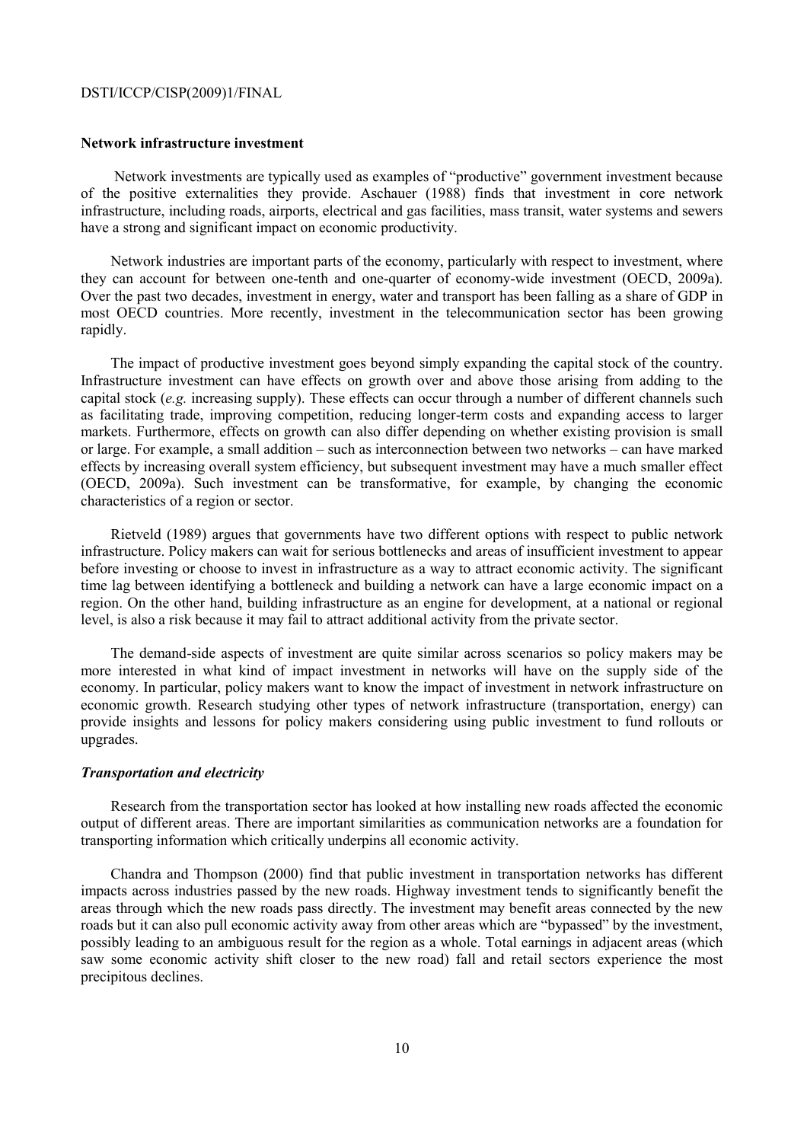#### **Network infrastructure investment**

 Network investments are typically used as examples of "productive" government investment because of the positive externalities they provide. Aschauer (1988) finds that investment in core network infrastructure, including roads, airports, electrical and gas facilities, mass transit, water systems and sewers have a strong and significant impact on economic productivity.

Network industries are important parts of the economy, particularly with respect to investment, where they can account for between one-tenth and one-quarter of economy-wide investment (OECD, 2009a). Over the past two decades, investment in energy, water and transport has been falling as a share of GDP in most OECD countries. More recently, investment in the telecommunication sector has been growing rapidly.

The impact of productive investment goes beyond simply expanding the capital stock of the country. Infrastructure investment can have effects on growth over and above those arising from adding to the capital stock (*e.g.* increasing supply). These effects can occur through a number of different channels such as facilitating trade, improving competition, reducing longer-term costs and expanding access to larger markets. Furthermore, effects on growth can also differ depending on whether existing provision is small or large. For example, a small addition – such as interconnection between two networks – can have marked effects by increasing overall system efficiency, but subsequent investment may have a much smaller effect (OECD, 2009a). Such investment can be transformative, for example, by changing the economic characteristics of a region or sector.

Rietveld (1989) argues that governments have two different options with respect to public network infrastructure. Policy makers can wait for serious bottlenecks and areas of insufficient investment to appear before investing or choose to invest in infrastructure as a way to attract economic activity. The significant time lag between identifying a bottleneck and building a network can have a large economic impact on a region. On the other hand, building infrastructure as an engine for development, at a national or regional level, is also a risk because it may fail to attract additional activity from the private sector.

The demand-side aspects of investment are quite similar across scenarios so policy makers may be more interested in what kind of impact investment in networks will have on the supply side of the economy. In particular, policy makers want to know the impact of investment in network infrastructure on economic growth. Research studying other types of network infrastructure (transportation, energy) can provide insights and lessons for policy makers considering using public investment to fund rollouts or upgrades.

## *Transportation and electricity*

Research from the transportation sector has looked at how installing new roads affected the economic output of different areas. There are important similarities as communication networks are a foundation for transporting information which critically underpins all economic activity.

Chandra and Thompson (2000) find that public investment in transportation networks has different impacts across industries passed by the new roads. Highway investment tends to significantly benefit the areas through which the new roads pass directly. The investment may benefit areas connected by the new roads but it can also pull economic activity away from other areas which are "bypassed" by the investment, possibly leading to an ambiguous result for the region as a whole. Total earnings in adjacent areas (which saw some economic activity shift closer to the new road) fall and retail sectors experience the most precipitous declines.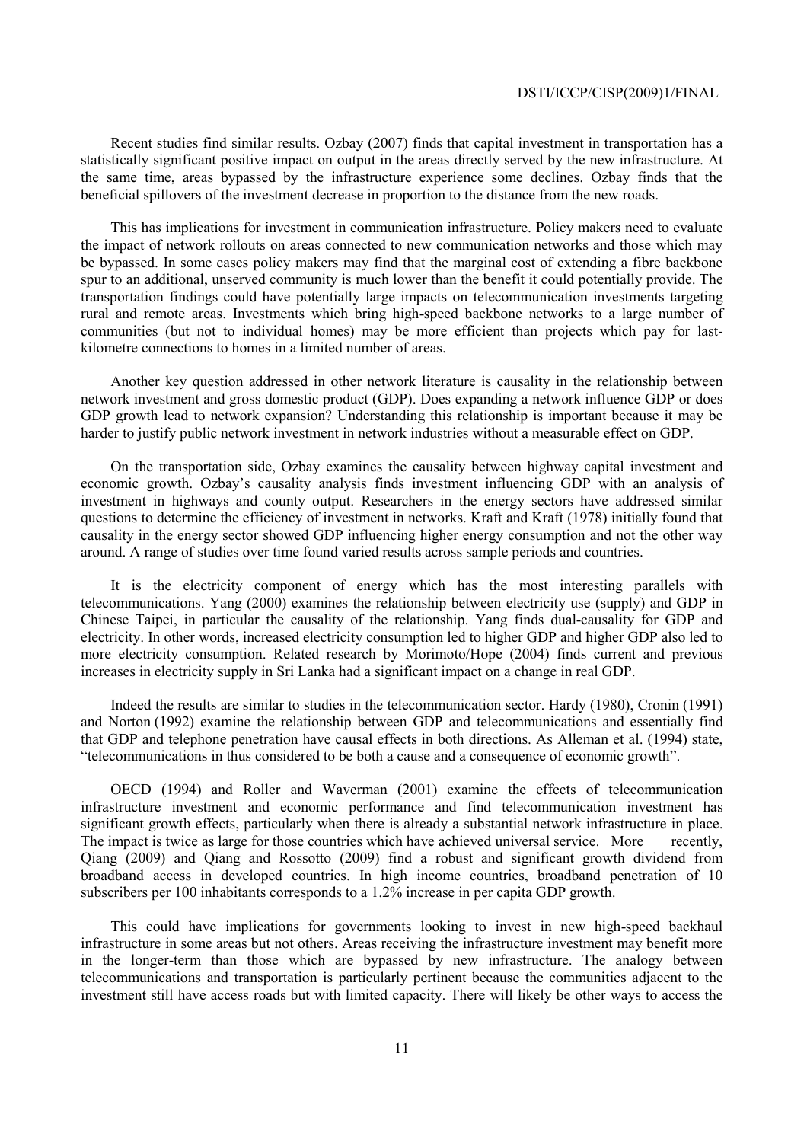Recent studies find similar results. Ozbay (2007) finds that capital investment in transportation has a statistically significant positive impact on output in the areas directly served by the new infrastructure. At the same time, areas bypassed by the infrastructure experience some declines. Ozbay finds that the beneficial spillovers of the investment decrease in proportion to the distance from the new roads.

This has implications for investment in communication infrastructure. Policy makers need to evaluate the impact of network rollouts on areas connected to new communication networks and those which may be bypassed. In some cases policy makers may find that the marginal cost of extending a fibre backbone spur to an additional, unserved community is much lower than the benefit it could potentially provide. The transportation findings could have potentially large impacts on telecommunication investments targeting rural and remote areas. Investments which bring high-speed backbone networks to a large number of communities (but not to individual homes) may be more efficient than projects which pay for lastkilometre connections to homes in a limited number of areas.

Another key question addressed in other network literature is causality in the relationship between network investment and gross domestic product (GDP). Does expanding a network influence GDP or does GDP growth lead to network expansion? Understanding this relationship is important because it may be harder to justify public network investment in network industries without a measurable effect on GDP.

On the transportation side, Ozbay examines the causality between highway capital investment and economic growth. Ozbay's causality analysis finds investment influencing GDP with an analysis of investment in highways and county output. Researchers in the energy sectors have addressed similar questions to determine the efficiency of investment in networks. Kraft and Kraft (1978) initially found that causality in the energy sector showed GDP influencing higher energy consumption and not the other way around. A range of studies over time found varied results across sample periods and countries.

It is the electricity component of energy which has the most interesting parallels with telecommunications. Yang (2000) examines the relationship between electricity use (supply) and GDP in Chinese Taipei, in particular the causality of the relationship. Yang finds dual-causality for GDP and electricity. In other words, increased electricity consumption led to higher GDP and higher GDP also led to more electricity consumption. Related research by Morimoto/Hope (2004) finds current and previous increases in electricity supply in Sri Lanka had a significant impact on a change in real GDP.

Indeed the results are similar to studies in the telecommunication sector. Hardy (1980), Cronin (1991) and Norton (1992) examine the relationship between GDP and telecommunications and essentially find that GDP and telephone penetration have causal effects in both directions. As Alleman et al. (1994) state, "telecommunications in thus considered to be both a cause and a consequence of economic growth".

OECD (1994) and Roller and Waverman (2001) examine the effects of telecommunication infrastructure investment and economic performance and find telecommunication investment has significant growth effects, particularly when there is already a substantial network infrastructure in place. The impact is twice as large for those countries which have achieved universal service. More recently, Qiang (2009) and Qiang and Rossotto (2009) find a robust and significant growth dividend from broadband access in developed countries. In high income countries, broadband penetration of 10 subscribers per 100 inhabitants corresponds to a 1.2% increase in per capita GDP growth.

This could have implications for governments looking to invest in new high-speed backhaul infrastructure in some areas but not others. Areas receiving the infrastructure investment may benefit more in the longer-term than those which are bypassed by new infrastructure. The analogy between telecommunications and transportation is particularly pertinent because the communities adjacent to the investment still have access roads but with limited capacity. There will likely be other ways to access the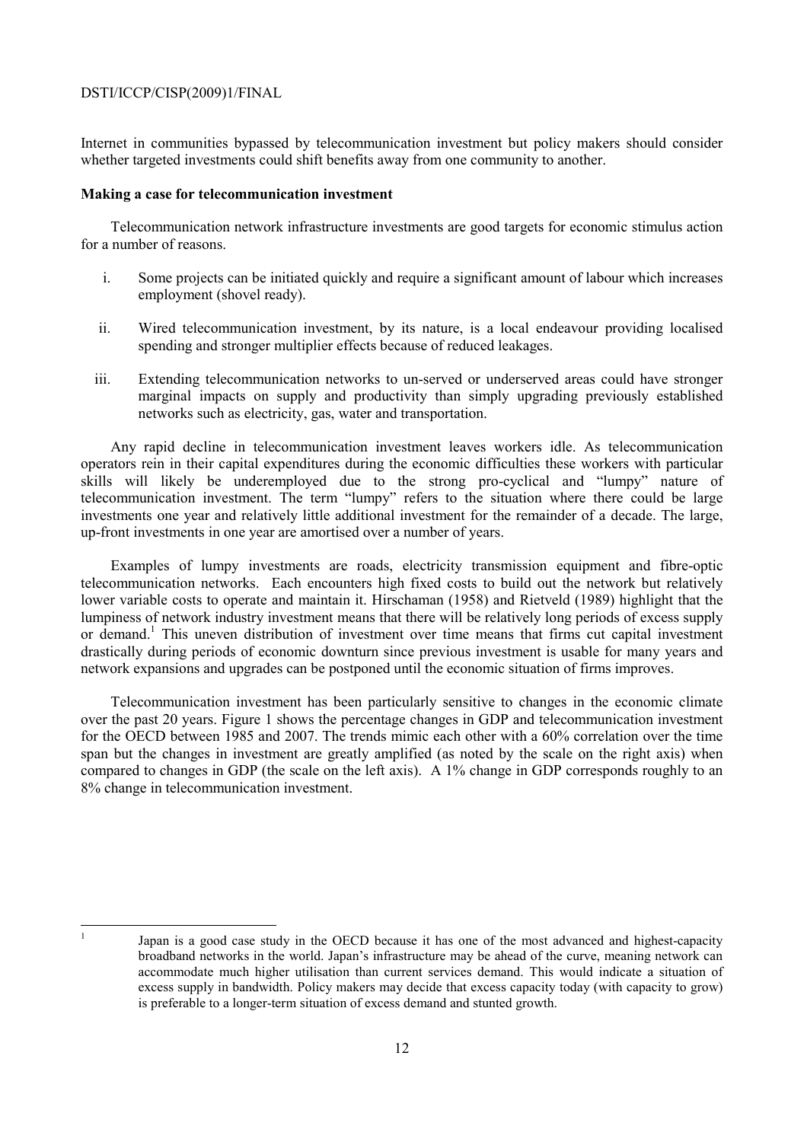Internet in communities bypassed by telecommunication investment but policy makers should consider whether targeted investments could shift benefits away from one community to another.

## **Making a case for telecommunication investment**

Telecommunication network infrastructure investments are good targets for economic stimulus action for a number of reasons.

- i. Some projects can be initiated quickly and require a significant amount of labour which increases employment (shovel ready).
- ii. Wired telecommunication investment, by its nature, is a local endeavour providing localised spending and stronger multiplier effects because of reduced leakages.
- iii. Extending telecommunication networks to un-served or underserved areas could have stronger marginal impacts on supply and productivity than simply upgrading previously established networks such as electricity, gas, water and transportation.

Any rapid decline in telecommunication investment leaves workers idle. As telecommunication operators rein in their capital expenditures during the economic difficulties these workers with particular skills will likely be underemployed due to the strong pro-cyclical and "lumpy" nature of telecommunication investment. The term "lumpy" refers to the situation where there could be large investments one year and relatively little additional investment for the remainder of a decade. The large, up-front investments in one year are amortised over a number of years.

Examples of lumpy investments are roads, electricity transmission equipment and fibre-optic telecommunication networks. Each encounters high fixed costs to build out the network but relatively lower variable costs to operate and maintain it. Hirschaman (1958) and Rietveld (1989) highlight that the lumpiness of network industry investment means that there will be relatively long periods of excess supply or demand.<sup>1</sup> This uneven distribution of investment over time means that firms cut capital investment drastically during periods of economic downturn since previous investment is usable for many years and network expansions and upgrades can be postponed until the economic situation of firms improves.

Telecommunication investment has been particularly sensitive to changes in the economic climate over the past 20 years. Figure 1 shows the percentage changes in GDP and telecommunication investment for the OECD between 1985 and 2007. The trends mimic each other with a 60% correlation over the time span but the changes in investment are greatly amplified (as noted by the scale on the right axis) when compared to changes in GDP (the scale on the left axis). A 1% change in GDP corresponds roughly to an 8% change in telecommunication investment.

|<br>|<br>|

Japan is a good case study in the OECD because it has one of the most advanced and highest-capacity broadband networks in the world. Japan's infrastructure may be ahead of the curve, meaning network can accommodate much higher utilisation than current services demand. This would indicate a situation of excess supply in bandwidth. Policy makers may decide that excess capacity today (with capacity to grow) is preferable to a longer-term situation of excess demand and stunted growth.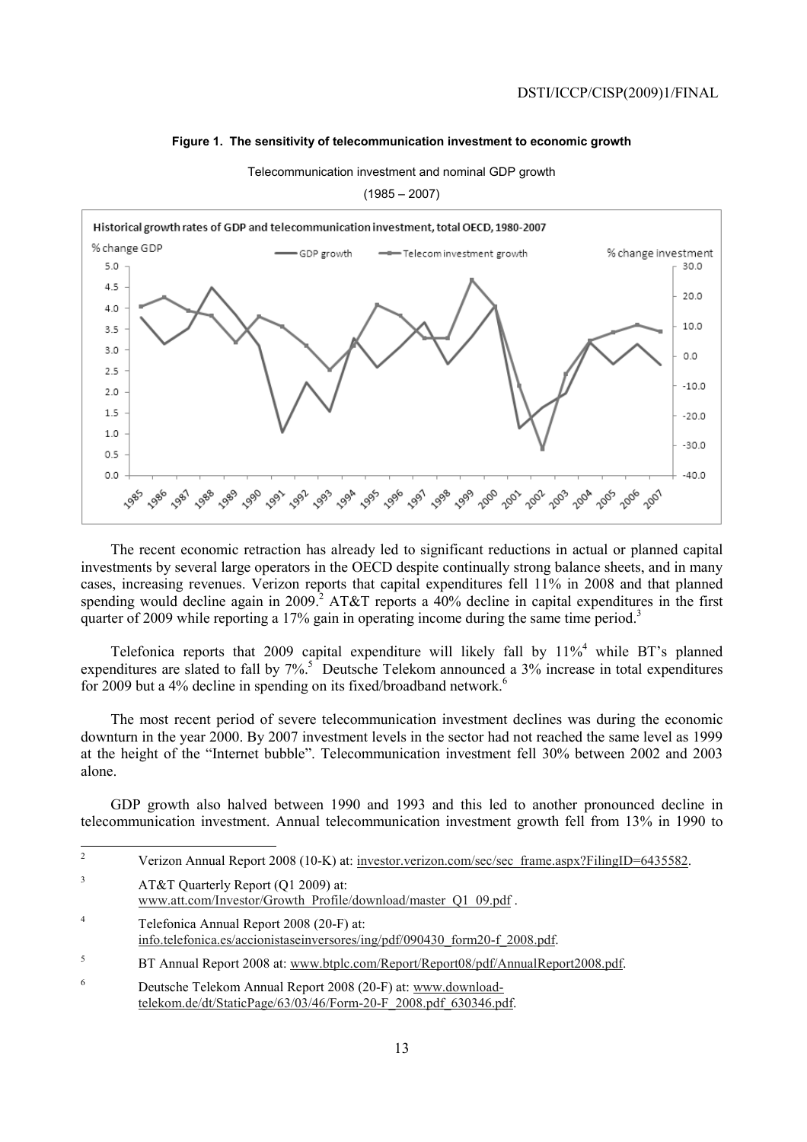## **Figure 1. The sensitivity of telecommunication investment to economic growth**

Telecommunication investment and nominal GDP growth

 $(1985 - 2007)$ 



The recent economic retraction has already led to significant reductions in actual or planned capital investments by several large operators in the OECD despite continually strong balance sheets, and in many cases, increasing revenues. Verizon reports that capital expenditures fell 11% in 2008 and that planned spending would decline again in 2009.<sup>2</sup> AT&T reports a  $40\%$  decline in capital expenditures in the first quarter of 2009 while reporting a 17% gain in operating income during the same time period.<sup>3</sup>

Telefonica reports that 2009 capital expenditure will likely fall by  $11\%^4$  while BT's planned expenditures are slated to fall by 7%.<sup>5</sup> Deutsche Telekom announced a 3% increase in total expenditures for 2009 but a 4% decline in spending on its fixed/broadband network.<sup>6</sup>

The most recent period of severe telecommunication investment declines was during the economic downturn in the year 2000. By 2007 investment levels in the sector had not reached the same level as 1999 at the height of the "Internet bubble". Telecommunication investment fell 30% between 2002 and 2003 alone.

GDP growth also halved between 1990 and 1993 and this led to another pronounced decline in telecommunication investment. Annual telecommunication investment growth fell from 13% in 1990 to

- $\frac{1}{2}$  Verizon Annual Report 2008 (10-K) at: investor.verizon.com/sec/sec\_frame.aspx?FilingID=6435582. 3 AT&T Quarterly Report (Q1 2009) at: www.att.com/Investor/Growth\_Profile/download/master\_Q1\_09.pdf . 4 Telefonica Annual Report 2008 (20-F) at: info.telefonica.es/accionistaseinversores/ing/pdf/090430\_form20-f\_2008.pdf. 5
- BT Annual Report 2008 at: www.btplc.com/Report/Report08/pdf/AnnualReport2008.pdf.
- 6 Deutsche Telekom Annual Report 2008 (20-F) at: www.downloadtelekom.de/dt/StaticPage/63/03/46/Form-20-F\_2008.pdf\_630346.pdf.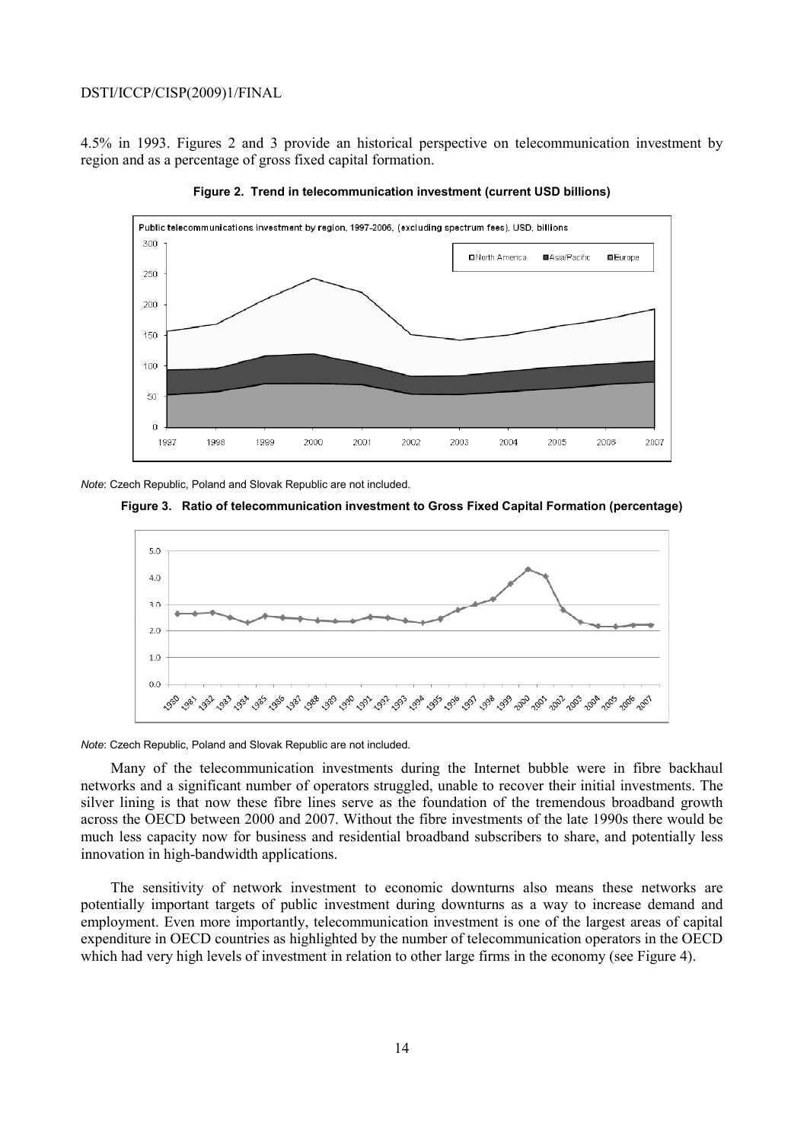4.5% in 1993. Figures 2 and 3 provide an historical perspective on telecommunication investment by region and as a percentage of gross fixed capital formation.



**Figure 2. Trend in telecommunication investment (current USD billions)** 

*Note*: Czech Republic, Poland and Slovak Republic are not included.

**Figure 3. Ratio of telecommunication investment to Gross Fixed Capital Formation (percentage)** 



*Note*: Czech Republic, Poland and Slovak Republic are not included.

Many of the telecommunication investments during the Internet bubble were in fibre backhaul networks and a significant number of operators struggled, unable to recover their initial investments. The silver lining is that now these fibre lines serve as the foundation of the tremendous broadband growth across the OECD between 2000 and 2007. Without the fibre investments of the late 1990s there would be much less capacity now for business and residential broadband subscribers to share, and potentially less innovation in high-bandwidth applications.

The sensitivity of network investment to economic downturns also means these networks are potentially important targets of public investment during downturns as a way to increase demand and employment. Even more importantly, telecommunication investment is one of the largest areas of capital expenditure in OECD countries as highlighted by the number of telecommunication operators in the OECD which had very high levels of investment in relation to other large firms in the economy (see Figure 4).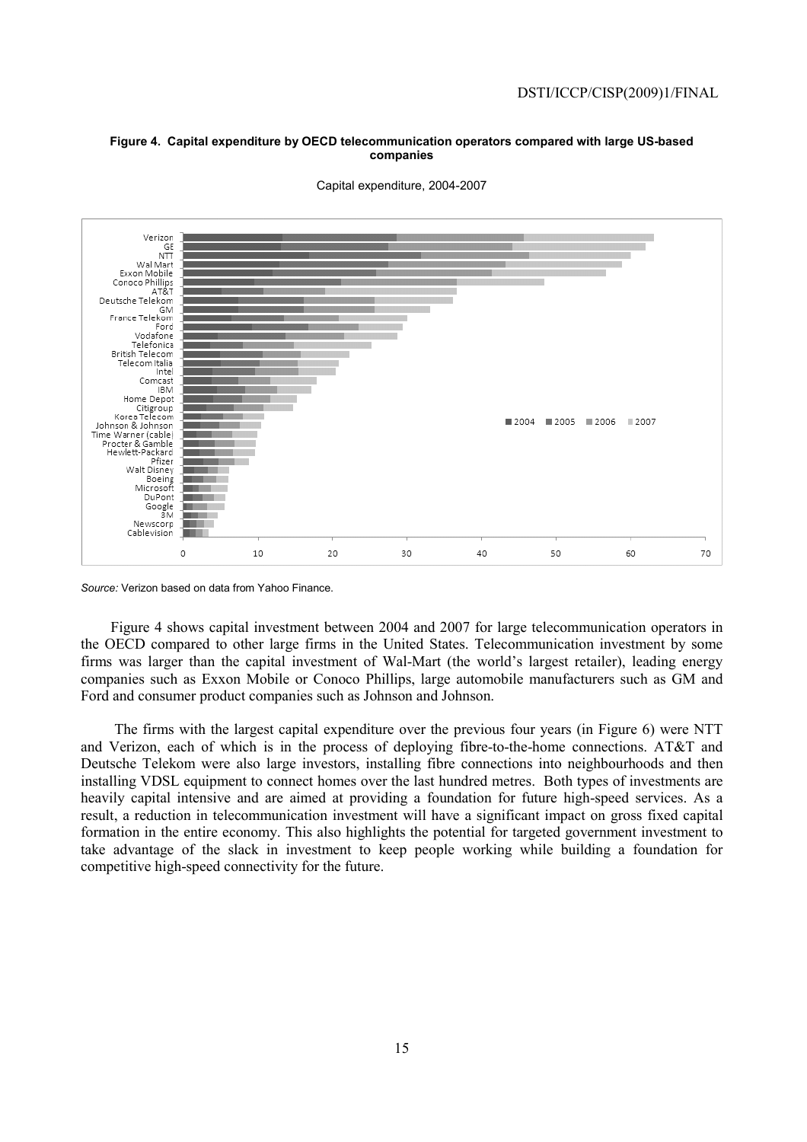## **Figure 4. Capital expenditure by OECD telecommunication operators compared with large US-based companies**



Capital expenditure, 2004-2007

*Source:* Verizon based on data from Yahoo Finance.

Figure 4 shows capital investment between 2004 and 2007 for large telecommunication operators in the OECD compared to other large firms in the United States. Telecommunication investment by some firms was larger than the capital investment of Wal-Mart (the world's largest retailer), leading energy companies such as Exxon Mobile or Conoco Phillips, large automobile manufacturers such as GM and Ford and consumer product companies such as Johnson and Johnson.

 The firms with the largest capital expenditure over the previous four years (in Figure 6) were NTT and Verizon, each of which is in the process of deploying fibre-to-the-home connections. AT&T and Deutsche Telekom were also large investors, installing fibre connections into neighbourhoods and then installing VDSL equipment to connect homes over the last hundred metres. Both types of investments are heavily capital intensive and are aimed at providing a foundation for future high-speed services. As a result, a reduction in telecommunication investment will have a significant impact on gross fixed capital formation in the entire economy. This also highlights the potential for targeted government investment to take advantage of the slack in investment to keep people working while building a foundation for competitive high-speed connectivity for the future.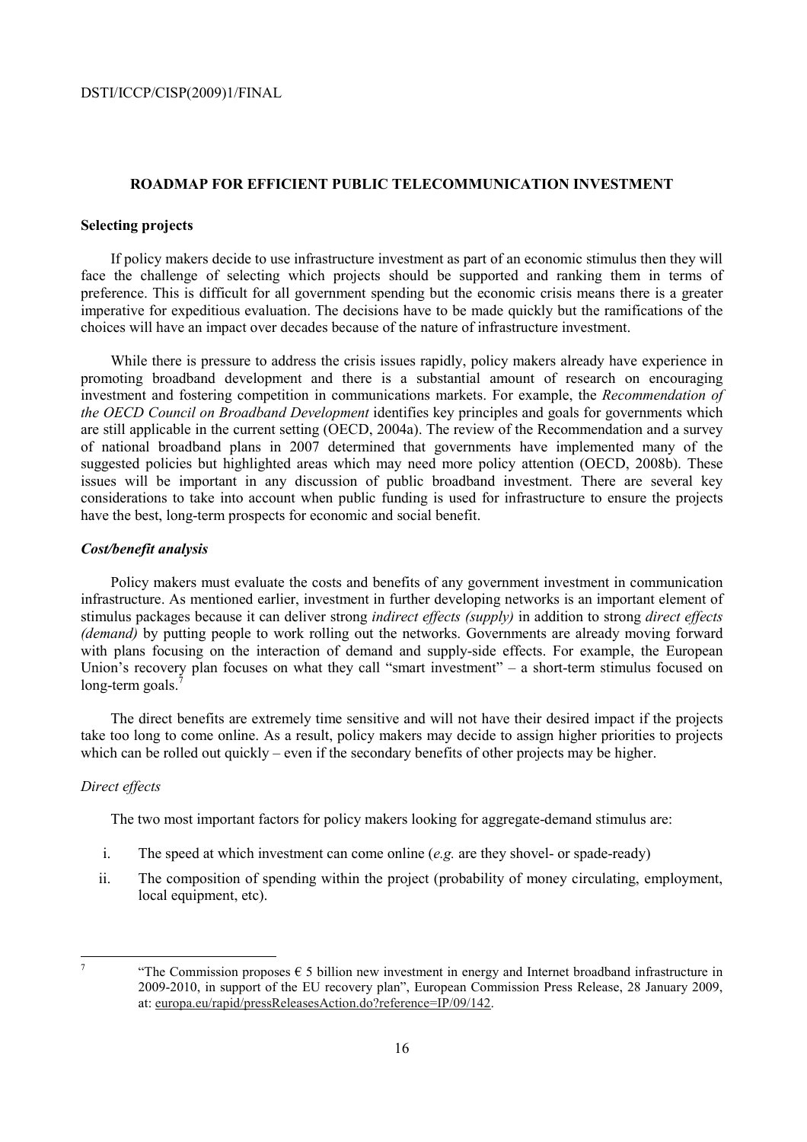## **ROADMAP FOR EFFICIENT PUBLIC TELECOMMUNICATION INVESTMENT**

## **Selecting projects**

If policy makers decide to use infrastructure investment as part of an economic stimulus then they will face the challenge of selecting which projects should be supported and ranking them in terms of preference. This is difficult for all government spending but the economic crisis means there is a greater imperative for expeditious evaluation. The decisions have to be made quickly but the ramifications of the choices will have an impact over decades because of the nature of infrastructure investment.

While there is pressure to address the crisis issues rapidly, policy makers already have experience in promoting broadband development and there is a substantial amount of research on encouraging investment and fostering competition in communications markets. For example, the *Recommendation of the OECD Council on Broadband Development* identifies key principles and goals for governments which are still applicable in the current setting (OECD, 2004a). The review of the Recommendation and a survey of national broadband plans in 2007 determined that governments have implemented many of the suggested policies but highlighted areas which may need more policy attention (OECD, 2008b). These issues will be important in any discussion of public broadband investment. There are several key considerations to take into account when public funding is used for infrastructure to ensure the projects have the best, long-term prospects for economic and social benefit.

## *Cost/benefit analysis*

Policy makers must evaluate the costs and benefits of any government investment in communication infrastructure. As mentioned earlier, investment in further developing networks is an important element of stimulus packages because it can deliver strong *indirect effects (supply)* in addition to strong *direct effects (demand)* by putting people to work rolling out the networks. Governments are already moving forward with plans focusing on the interaction of demand and supply-side effects. For example, the European Union's recovery plan focuses on what they call "smart investment" – a short-term stimulus focused on long-term goals.

The direct benefits are extremely time sensitive and will not have their desired impact if the projects take too long to come online. As a result, policy makers may decide to assign higher priorities to projects which can be rolled out quickly – even if the secondary benefits of other projects may be higher.

## *Direct effects*

The two most important factors for policy makers looking for aggregate-demand stimulus are:

- i. The speed at which investment can come online (*e.g.* are they shovel- or spade-ready)
- ii. The composition of spending within the project (probability of money circulating, employment, local equipment, etc).

<sup>-</sup>

<sup>&</sup>quot;The Commission proposes  $\epsilon$  5 billion new investment in energy and Internet broadband infrastructure in 2009-2010, in support of the EU recovery plan", European Commission Press Release, 28 January 2009, at: europa.eu/rapid/pressReleasesAction.do?reference=IP/09/142.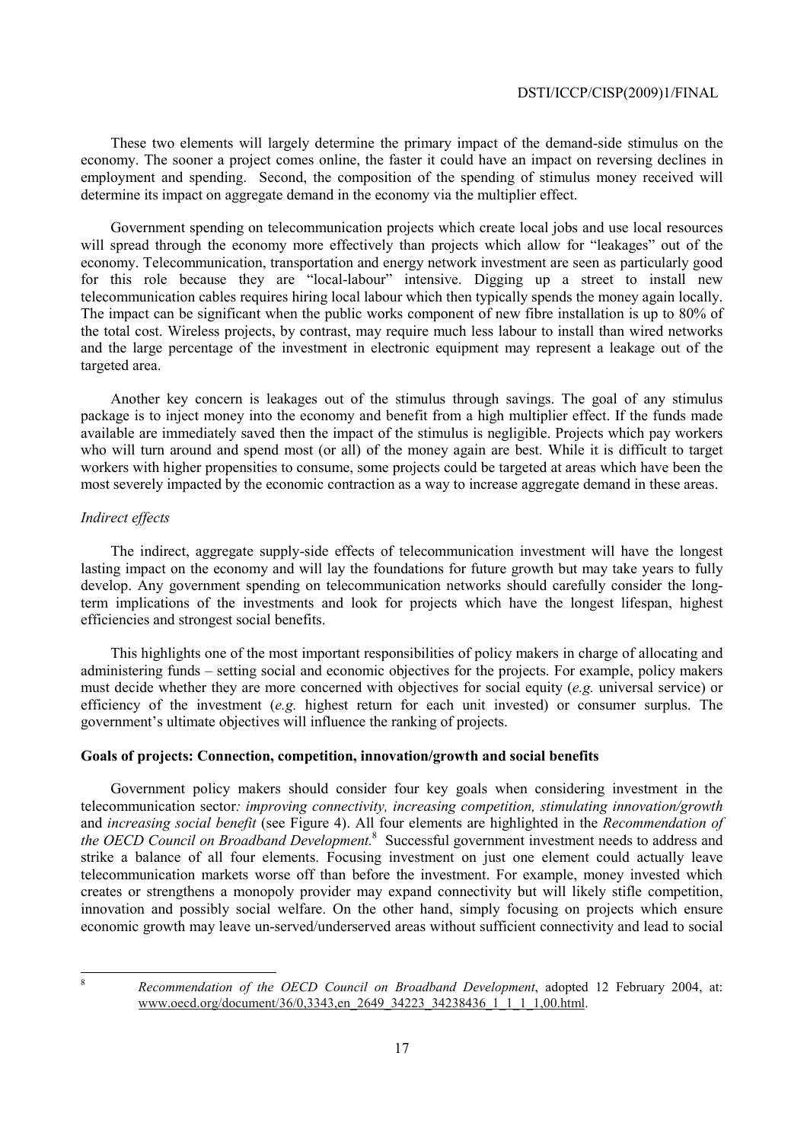These two elements will largely determine the primary impact of the demand-side stimulus on the economy. The sooner a project comes online, the faster it could have an impact on reversing declines in employment and spending. Second, the composition of the spending of stimulus money received will determine its impact on aggregate demand in the economy via the multiplier effect.

Government spending on telecommunication projects which create local jobs and use local resources will spread through the economy more effectively than projects which allow for "leakages" out of the economy. Telecommunication, transportation and energy network investment are seen as particularly good for this role because they are "local-labour" intensive. Digging up a street to install new telecommunication cables requires hiring local labour which then typically spends the money again locally. The impact can be significant when the public works component of new fibre installation is up to 80% of the total cost. Wireless projects, by contrast, may require much less labour to install than wired networks and the large percentage of the investment in electronic equipment may represent a leakage out of the targeted area.

Another key concern is leakages out of the stimulus through savings. The goal of any stimulus package is to inject money into the economy and benefit from a high multiplier effect. If the funds made available are immediately saved then the impact of the stimulus is negligible. Projects which pay workers who will turn around and spend most (or all) of the money again are best. While it is difficult to target workers with higher propensities to consume, some projects could be targeted at areas which have been the most severely impacted by the economic contraction as a way to increase aggregate demand in these areas.

## *Indirect effects*

The indirect, aggregate supply-side effects of telecommunication investment will have the longest lasting impact on the economy and will lay the foundations for future growth but may take years to fully develop. Any government spending on telecommunication networks should carefully consider the longterm implications of the investments and look for projects which have the longest lifespan, highest efficiencies and strongest social benefits.

This highlights one of the most important responsibilities of policy makers in charge of allocating and administering funds – setting social and economic objectives for the projects. For example, policy makers must decide whether they are more concerned with objectives for social equity (*e.g.* universal service) or efficiency of the investment (*e.g.* highest return for each unit invested) or consumer surplus. The government's ultimate objectives will influence the ranking of projects.

## **Goals of projects: Connection, competition, innovation/growth and social benefits**

Government policy makers should consider four key goals when considering investment in the telecommunication sector*: improving connectivity, increasing competition, stimulating innovation/growth*  and *increasing social benefit* (see Figure 4). All four elements are highlighted in the *Recommendation of the OECD Council on Broadband Development.*<sup>8</sup> Successful government investment needs to address and strike a balance of all four elements. Focusing investment on just one element could actually leave telecommunication markets worse off than before the investment. For example, money invested which creates or strengthens a monopoly provider may expand connectivity but will likely stifle competition, innovation and possibly social welfare. On the other hand, simply focusing on projects which ensure economic growth may leave un-served/underserved areas without sufficient connectivity and lead to social

8

*Recommendation of the OECD Council on Broadband Development*, adopted 12 February 2004, at: www.oecd.org/document/36/0,3343,en\_2649\_34223\_34238436\_1\_1\_1,00.html.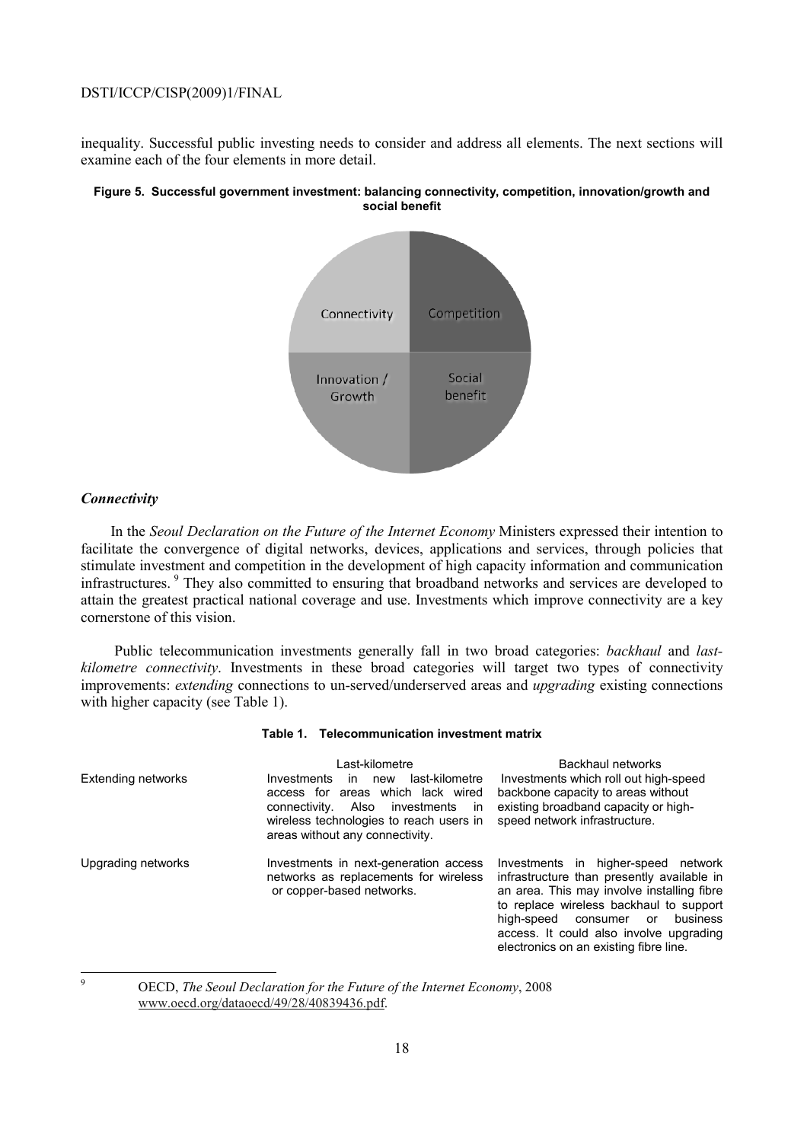inequality. Successful public investing needs to consider and address all elements. The next sections will examine each of the four elements in more detail.

#### **Figure 5. Successful government investment: balancing connectivity, competition, innovation/growth and social benefit**



## *Connectivity*

In the *Seoul Declaration on the Future of the Internet Economy* Ministers expressed their intention to facilitate the convergence of digital networks, devices, applications and services, through policies that stimulate investment and competition in the development of high capacity information and communication infrastructures. 9 They also committed to ensuring that broadband networks and services are developed to attain the greatest practical national coverage and use. Investments which improve connectivity are a key cornerstone of this vision.

 Public telecommunication investments generally fall in two broad categories: *backhaul* and *lastkilometre connectivity*. Investments in these broad categories will target two types of connectivity improvements: *extending* connections to un-served/underserved areas and *upgrading* existing connections with higher capacity (see Table 1).

#### **Table 1. Telecommunication investment matrix**

| Extending networks | Last-kilometre<br>last-kilometre<br>Investments<br>in.<br>new<br>access for areas which lack wired<br>Also<br>connectivity.<br>investments<br>ın<br>wireless technologies to reach users in<br>areas without any connectivity. | Backhaul networks<br>Investments which roll out high-speed<br>backbone capacity to areas without<br>existing broadband capacity or high-<br>speed network infrastructure.                                                                                                                                   |
|--------------------|--------------------------------------------------------------------------------------------------------------------------------------------------------------------------------------------------------------------------------|-------------------------------------------------------------------------------------------------------------------------------------------------------------------------------------------------------------------------------------------------------------------------------------------------------------|
| Upgrading networks | Investments in next-generation access<br>networks as replacements for wireless<br>or copper-based networks.                                                                                                                    | Investments in higher-speed network<br>infrastructure than presently available in<br>an area. This may involve installing fibre<br>to replace wireless backhaul to support<br>business<br>high-speed<br>consumer<br>or<br>access. It could also involve upgrading<br>electronics on an existing fibre line. |

-<br>9

 OECD, *The Seoul Declaration for the Future of the Internet Economy*, 2008 www.oecd.org/dataoecd/49/28/40839436.pdf.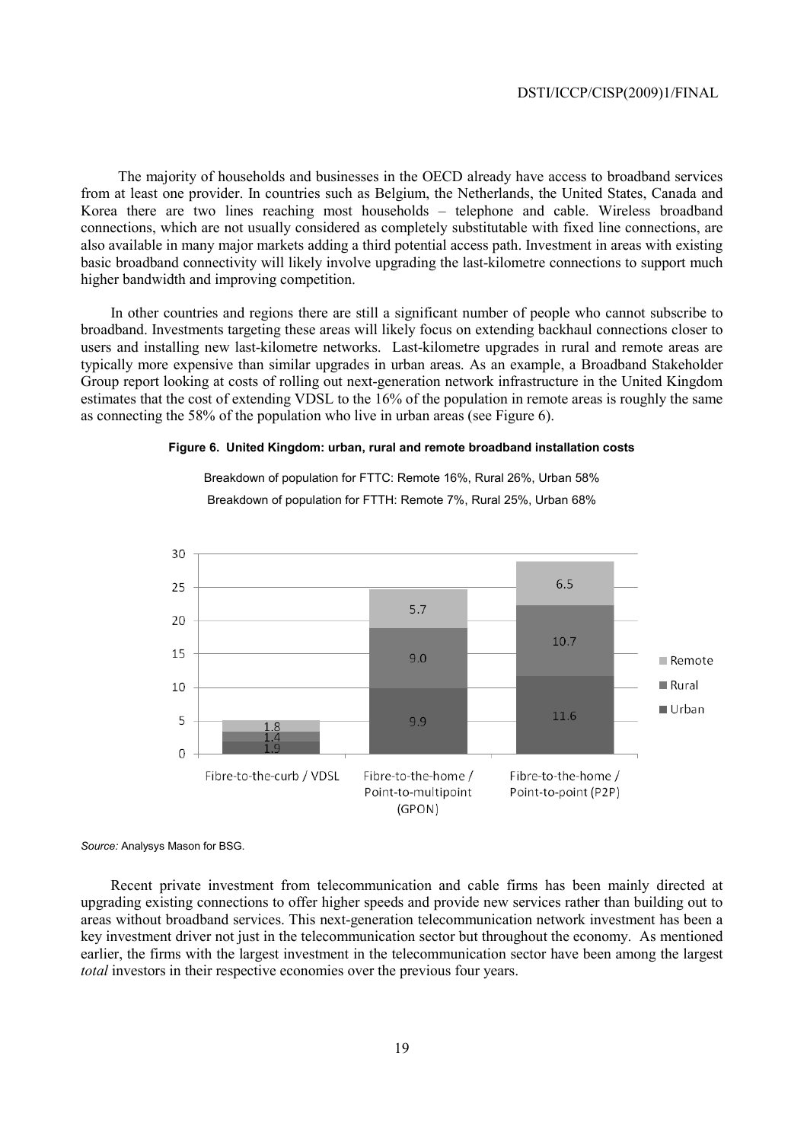The majority of households and businesses in the OECD already have access to broadband services from at least one provider. In countries such as Belgium, the Netherlands, the United States, Canada and Korea there are two lines reaching most households – telephone and cable. Wireless broadband connections, which are not usually considered as completely substitutable with fixed line connections, are also available in many major markets adding a third potential access path. Investment in areas with existing basic broadband connectivity will likely involve upgrading the last-kilometre connections to support much higher bandwidth and improving competition.

In other countries and regions there are still a significant number of people who cannot subscribe to broadband. Investments targeting these areas will likely focus on extending backhaul connections closer to users and installing new last-kilometre networks. Last-kilometre upgrades in rural and remote areas are typically more expensive than similar upgrades in urban areas. As an example, a Broadband Stakeholder Group report looking at costs of rolling out next-generation network infrastructure in the United Kingdom estimates that the cost of extending VDSL to the 16% of the population in remote areas is roughly the same as connecting the 58% of the population who live in urban areas (see Figure 6).

#### **Figure 6. United Kingdom: urban, rural and remote broadband installation costs**

Breakdown of population for FTTC: Remote 16%, Rural 26%, Urban 58% Breakdown of population for FTTH: Remote 7%, Rural 25%, Urban 68%



*Source:* Analysys Mason for BSG.

Recent private investment from telecommunication and cable firms has been mainly directed at upgrading existing connections to offer higher speeds and provide new services rather than building out to areas without broadband services. This next-generation telecommunication network investment has been a key investment driver not just in the telecommunication sector but throughout the economy. As mentioned earlier, the firms with the largest investment in the telecommunication sector have been among the largest *total* investors in their respective economies over the previous four years.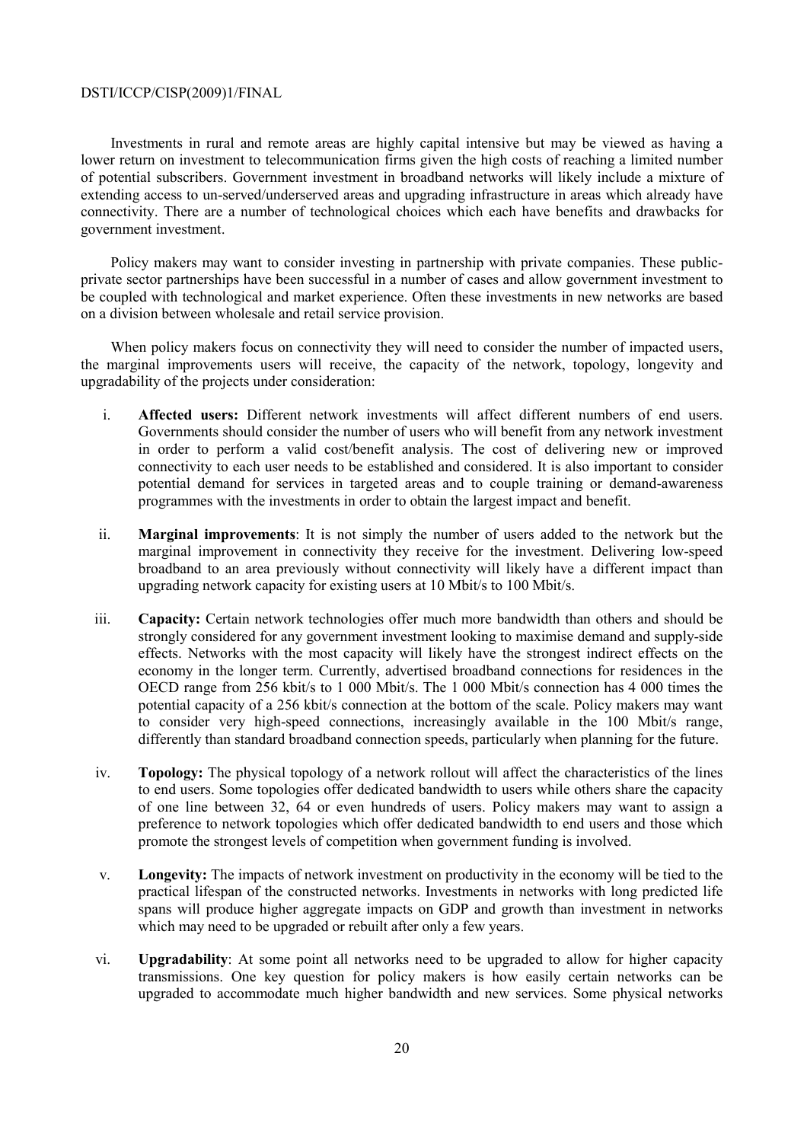Investments in rural and remote areas are highly capital intensive but may be viewed as having a lower return on investment to telecommunication firms given the high costs of reaching a limited number of potential subscribers. Government investment in broadband networks will likely include a mixture of extending access to un-served/underserved areas and upgrading infrastructure in areas which already have connectivity. There are a number of technological choices which each have benefits and drawbacks for government investment.

Policy makers may want to consider investing in partnership with private companies. These publicprivate sector partnerships have been successful in a number of cases and allow government investment to be coupled with technological and market experience. Often these investments in new networks are based on a division between wholesale and retail service provision.

When policy makers focus on connectivity they will need to consider the number of impacted users, the marginal improvements users will receive, the capacity of the network, topology, longevity and upgradability of the projects under consideration:

- i. **Affected users:** Different network investments will affect different numbers of end users. Governments should consider the number of users who will benefit from any network investment in order to perform a valid cost/benefit analysis. The cost of delivering new or improved connectivity to each user needs to be established and considered. It is also important to consider potential demand for services in targeted areas and to couple training or demand-awareness programmes with the investments in order to obtain the largest impact and benefit.
- ii. **Marginal improvements**: It is not simply the number of users added to the network but the marginal improvement in connectivity they receive for the investment. Delivering low-speed broadband to an area previously without connectivity will likely have a different impact than upgrading network capacity for existing users at 10 Mbit/s to 100 Mbit/s.
- iii. **Capacity:** Certain network technologies offer much more bandwidth than others and should be strongly considered for any government investment looking to maximise demand and supply-side effects. Networks with the most capacity will likely have the strongest indirect effects on the economy in the longer term. Currently, advertised broadband connections for residences in the OECD range from 256 kbit/s to 1 000 Mbit/s. The 1 000 Mbit/s connection has 4 000 times the potential capacity of a 256 kbit/s connection at the bottom of the scale. Policy makers may want to consider very high-speed connections, increasingly available in the 100 Mbit/s range, differently than standard broadband connection speeds, particularly when planning for the future.
- iv. **Topology:** The physical topology of a network rollout will affect the characteristics of the lines to end users. Some topologies offer dedicated bandwidth to users while others share the capacity of one line between 32, 64 or even hundreds of users. Policy makers may want to assign a preference to network topologies which offer dedicated bandwidth to end users and those which promote the strongest levels of competition when government funding is involved.
- v. **Longevity:** The impacts of network investment on productivity in the economy will be tied to the practical lifespan of the constructed networks. Investments in networks with long predicted life spans will produce higher aggregate impacts on GDP and growth than investment in networks which may need to be upgraded or rebuilt after only a few years.
- vi. **Upgradability**: At some point all networks need to be upgraded to allow for higher capacity transmissions. One key question for policy makers is how easily certain networks can be upgraded to accommodate much higher bandwidth and new services. Some physical networks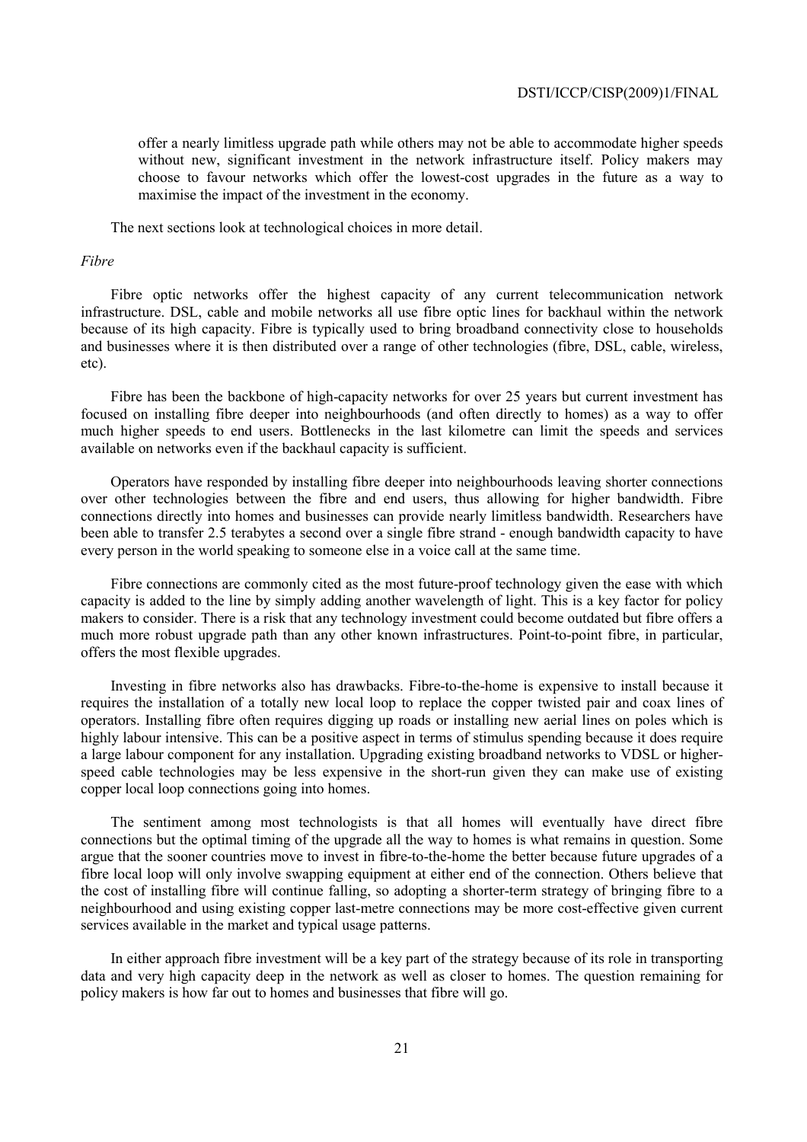offer a nearly limitless upgrade path while others may not be able to accommodate higher speeds without new, significant investment in the network infrastructure itself. Policy makers may choose to favour networks which offer the lowest-cost upgrades in the future as a way to maximise the impact of the investment in the economy.

The next sections look at technological choices in more detail.

#### *Fibre*

Fibre optic networks offer the highest capacity of any current telecommunication network infrastructure. DSL, cable and mobile networks all use fibre optic lines for backhaul within the network because of its high capacity. Fibre is typically used to bring broadband connectivity close to households and businesses where it is then distributed over a range of other technologies (fibre, DSL, cable, wireless, etc).

Fibre has been the backbone of high-capacity networks for over 25 years but current investment has focused on installing fibre deeper into neighbourhoods (and often directly to homes) as a way to offer much higher speeds to end users. Bottlenecks in the last kilometre can limit the speeds and services available on networks even if the backhaul capacity is sufficient.

Operators have responded by installing fibre deeper into neighbourhoods leaving shorter connections over other technologies between the fibre and end users, thus allowing for higher bandwidth. Fibre connections directly into homes and businesses can provide nearly limitless bandwidth. Researchers have been able to transfer 2.5 terabytes a second over a single fibre strand - enough bandwidth capacity to have every person in the world speaking to someone else in a voice call at the same time.

Fibre connections are commonly cited as the most future-proof technology given the ease with which capacity is added to the line by simply adding another wavelength of light. This is a key factor for policy makers to consider. There is a risk that any technology investment could become outdated but fibre offers a much more robust upgrade path than any other known infrastructures. Point-to-point fibre, in particular, offers the most flexible upgrades.

Investing in fibre networks also has drawbacks. Fibre-to-the-home is expensive to install because it requires the installation of a totally new local loop to replace the copper twisted pair and coax lines of operators. Installing fibre often requires digging up roads or installing new aerial lines on poles which is highly labour intensive. This can be a positive aspect in terms of stimulus spending because it does require a large labour component for any installation. Upgrading existing broadband networks to VDSL or higherspeed cable technologies may be less expensive in the short-run given they can make use of existing copper local loop connections going into homes.

The sentiment among most technologists is that all homes will eventually have direct fibre connections but the optimal timing of the upgrade all the way to homes is what remains in question. Some argue that the sooner countries move to invest in fibre-to-the-home the better because future upgrades of a fibre local loop will only involve swapping equipment at either end of the connection. Others believe that the cost of installing fibre will continue falling, so adopting a shorter-term strategy of bringing fibre to a neighbourhood and using existing copper last-metre connections may be more cost-effective given current services available in the market and typical usage patterns.

In either approach fibre investment will be a key part of the strategy because of its role in transporting data and very high capacity deep in the network as well as closer to homes. The question remaining for policy makers is how far out to homes and businesses that fibre will go.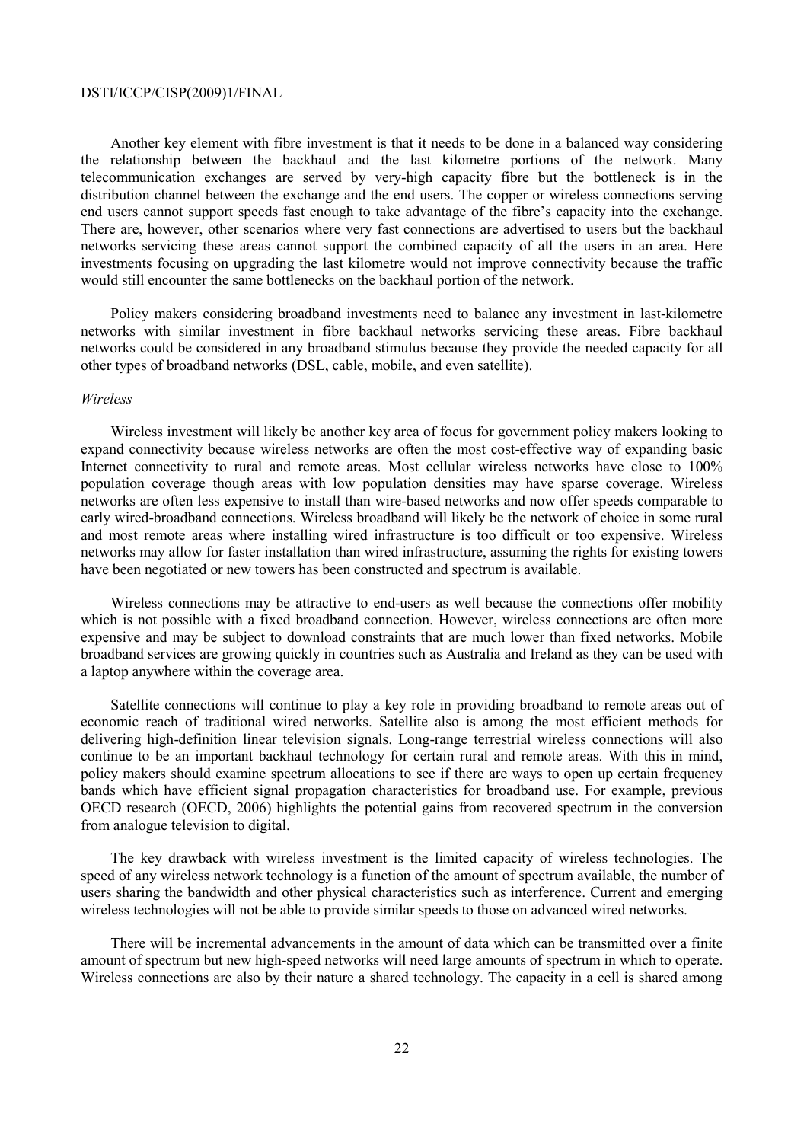Another key element with fibre investment is that it needs to be done in a balanced way considering the relationship between the backhaul and the last kilometre portions of the network. Many telecommunication exchanges are served by very-high capacity fibre but the bottleneck is in the distribution channel between the exchange and the end users. The copper or wireless connections serving end users cannot support speeds fast enough to take advantage of the fibre's capacity into the exchange. There are, however, other scenarios where very fast connections are advertised to users but the backhaul networks servicing these areas cannot support the combined capacity of all the users in an area. Here investments focusing on upgrading the last kilometre would not improve connectivity because the traffic would still encounter the same bottlenecks on the backhaul portion of the network.

Policy makers considering broadband investments need to balance any investment in last-kilometre networks with similar investment in fibre backhaul networks servicing these areas. Fibre backhaul networks could be considered in any broadband stimulus because they provide the needed capacity for all other types of broadband networks (DSL, cable, mobile, and even satellite).

## *Wireless*

Wireless investment will likely be another key area of focus for government policy makers looking to expand connectivity because wireless networks are often the most cost-effective way of expanding basic Internet connectivity to rural and remote areas. Most cellular wireless networks have close to 100% population coverage though areas with low population densities may have sparse coverage. Wireless networks are often less expensive to install than wire-based networks and now offer speeds comparable to early wired-broadband connections. Wireless broadband will likely be the network of choice in some rural and most remote areas where installing wired infrastructure is too difficult or too expensive. Wireless networks may allow for faster installation than wired infrastructure, assuming the rights for existing towers have been negotiated or new towers has been constructed and spectrum is available.

Wireless connections may be attractive to end-users as well because the connections offer mobility which is not possible with a fixed broadband connection. However, wireless connections are often more expensive and may be subject to download constraints that are much lower than fixed networks. Mobile broadband services are growing quickly in countries such as Australia and Ireland as they can be used with a laptop anywhere within the coverage area.

Satellite connections will continue to play a key role in providing broadband to remote areas out of economic reach of traditional wired networks. Satellite also is among the most efficient methods for delivering high-definition linear television signals. Long-range terrestrial wireless connections will also continue to be an important backhaul technology for certain rural and remote areas. With this in mind, policy makers should examine spectrum allocations to see if there are ways to open up certain frequency bands which have efficient signal propagation characteristics for broadband use. For example, previous OECD research (OECD, 2006) highlights the potential gains from recovered spectrum in the conversion from analogue television to digital.

The key drawback with wireless investment is the limited capacity of wireless technologies. The speed of any wireless network technology is a function of the amount of spectrum available, the number of users sharing the bandwidth and other physical characteristics such as interference. Current and emerging wireless technologies will not be able to provide similar speeds to those on advanced wired networks.

There will be incremental advancements in the amount of data which can be transmitted over a finite amount of spectrum but new high-speed networks will need large amounts of spectrum in which to operate. Wireless connections are also by their nature a shared technology. The capacity in a cell is shared among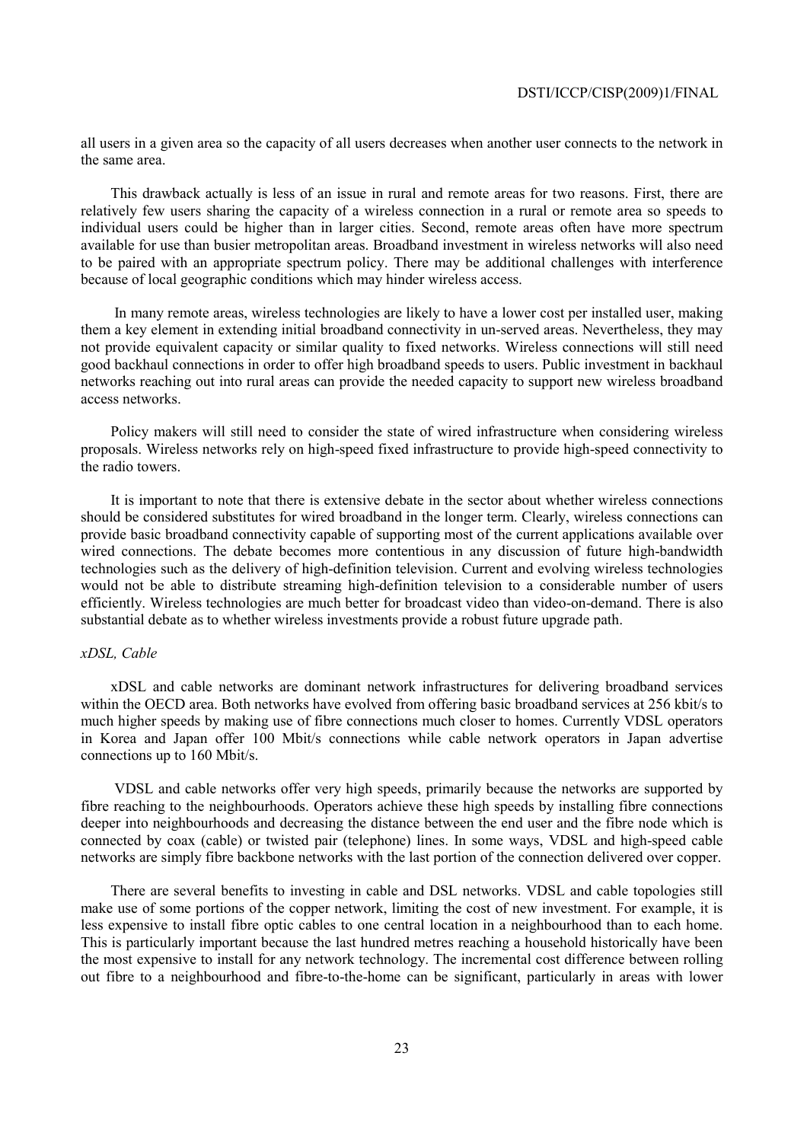all users in a given area so the capacity of all users decreases when another user connects to the network in the same area.

This drawback actually is less of an issue in rural and remote areas for two reasons. First, there are relatively few users sharing the capacity of a wireless connection in a rural or remote area so speeds to individual users could be higher than in larger cities. Second, remote areas often have more spectrum available for use than busier metropolitan areas. Broadband investment in wireless networks will also need to be paired with an appropriate spectrum policy. There may be additional challenges with interference because of local geographic conditions which may hinder wireless access.

 In many remote areas, wireless technologies are likely to have a lower cost per installed user, making them a key element in extending initial broadband connectivity in un-served areas. Nevertheless, they may not provide equivalent capacity or similar quality to fixed networks. Wireless connections will still need good backhaul connections in order to offer high broadband speeds to users. Public investment in backhaul networks reaching out into rural areas can provide the needed capacity to support new wireless broadband access networks.

Policy makers will still need to consider the state of wired infrastructure when considering wireless proposals. Wireless networks rely on high-speed fixed infrastructure to provide high-speed connectivity to the radio towers.

It is important to note that there is extensive debate in the sector about whether wireless connections should be considered substitutes for wired broadband in the longer term. Clearly, wireless connections can provide basic broadband connectivity capable of supporting most of the current applications available over wired connections. The debate becomes more contentious in any discussion of future high-bandwidth technologies such as the delivery of high-definition television. Current and evolving wireless technologies would not be able to distribute streaming high-definition television to a considerable number of users efficiently. Wireless technologies are much better for broadcast video than video-on-demand. There is also substantial debate as to whether wireless investments provide a robust future upgrade path.

## *xDSL, Cable*

xDSL and cable networks are dominant network infrastructures for delivering broadband services within the OECD area. Both networks have evolved from offering basic broadband services at 256 kbit/s to much higher speeds by making use of fibre connections much closer to homes. Currently VDSL operators in Korea and Japan offer 100 Mbit/s connections while cable network operators in Japan advertise connections up to 160 Mbit/s.

 VDSL and cable networks offer very high speeds, primarily because the networks are supported by fibre reaching to the neighbourhoods. Operators achieve these high speeds by installing fibre connections deeper into neighbourhoods and decreasing the distance between the end user and the fibre node which is connected by coax (cable) or twisted pair (telephone) lines. In some ways, VDSL and high-speed cable networks are simply fibre backbone networks with the last portion of the connection delivered over copper.

There are several benefits to investing in cable and DSL networks. VDSL and cable topologies still make use of some portions of the copper network, limiting the cost of new investment. For example, it is less expensive to install fibre optic cables to one central location in a neighbourhood than to each home. This is particularly important because the last hundred metres reaching a household historically have been the most expensive to install for any network technology. The incremental cost difference between rolling out fibre to a neighbourhood and fibre-to-the-home can be significant, particularly in areas with lower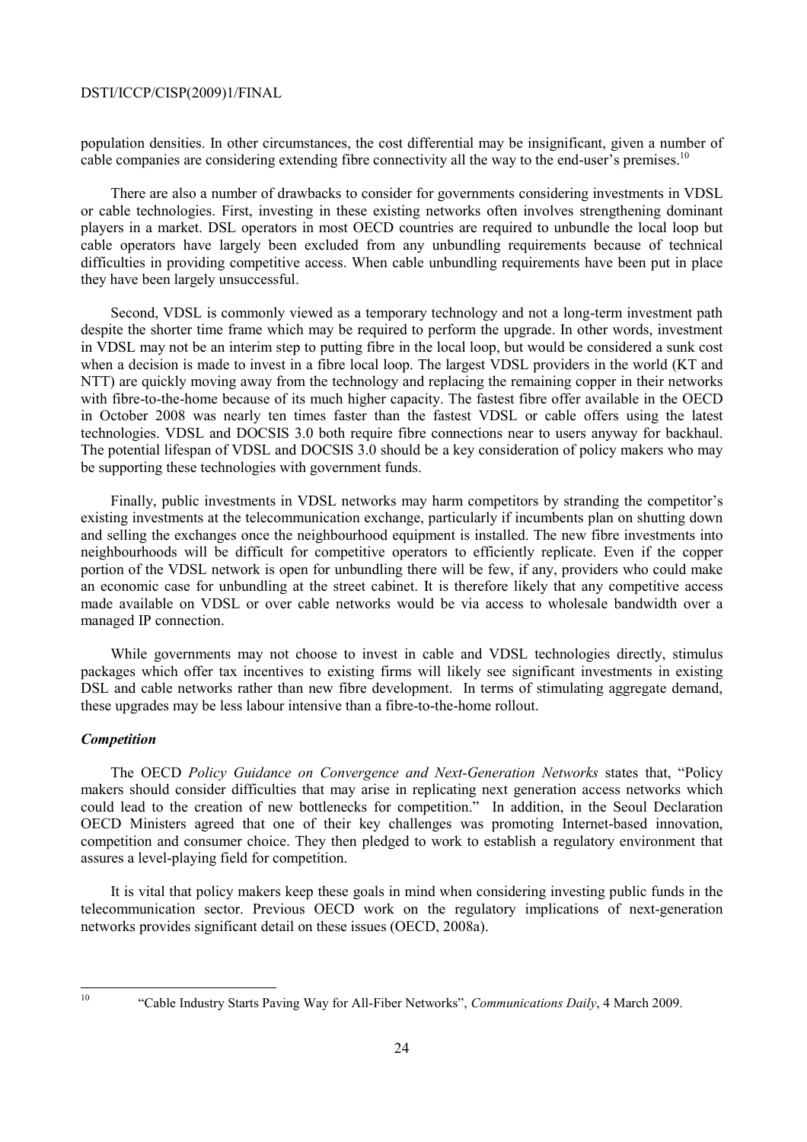population densities. In other circumstances, the cost differential may be insignificant, given a number of cable companies are considering extending fibre connectivity all the way to the end-user's premises.<sup>10</sup>

There are also a number of drawbacks to consider for governments considering investments in VDSL or cable technologies. First, investing in these existing networks often involves strengthening dominant players in a market. DSL operators in most OECD countries are required to unbundle the local loop but cable operators have largely been excluded from any unbundling requirements because of technical difficulties in providing competitive access. When cable unbundling requirements have been put in place they have been largely unsuccessful.

Second, VDSL is commonly viewed as a temporary technology and not a long-term investment path despite the shorter time frame which may be required to perform the upgrade. In other words, investment in VDSL may not be an interim step to putting fibre in the local loop, but would be considered a sunk cost when a decision is made to invest in a fibre local loop. The largest VDSL providers in the world (KT and NTT) are quickly moving away from the technology and replacing the remaining copper in their networks with fibre-to-the-home because of its much higher capacity. The fastest fibre offer available in the OECD in October 2008 was nearly ten times faster than the fastest VDSL or cable offers using the latest technologies. VDSL and DOCSIS 3.0 both require fibre connections near to users anyway for backhaul. The potential lifespan of VDSL and DOCSIS 3.0 should be a key consideration of policy makers who may be supporting these technologies with government funds.

Finally, public investments in VDSL networks may harm competitors by stranding the competitor's existing investments at the telecommunication exchange, particularly if incumbents plan on shutting down and selling the exchanges once the neighbourhood equipment is installed. The new fibre investments into neighbourhoods will be difficult for competitive operators to efficiently replicate. Even if the copper portion of the VDSL network is open for unbundling there will be few, if any, providers who could make an economic case for unbundling at the street cabinet. It is therefore likely that any competitive access made available on VDSL or over cable networks would be via access to wholesale bandwidth over a managed IP connection.

While governments may not choose to invest in cable and VDSL technologies directly, stimulus packages which offer tax incentives to existing firms will likely see significant investments in existing DSL and cable networks rather than new fibre development. In terms of stimulating aggregate demand, these upgrades may be less labour intensive than a fibre-to-the-home rollout.

## *Competition*

The OECD *Policy Guidance on Convergence and Next-Generation Networks* states that, "Policy makers should consider difficulties that may arise in replicating next generation access networks which could lead to the creation of new bottlenecks for competition." In addition, in the Seoul Declaration OECD Ministers agreed that one of their key challenges was promoting Internet-based innovation, competition and consumer choice. They then pledged to work to establish a regulatory environment that assures a level-playing field for competition.

It is vital that policy makers keep these goals in mind when considering investing public funds in the telecommunication sector. Previous OECD work on the regulatory implications of next-generation networks provides significant detail on these issues (OECD, 2008a).

 $10$ 

<sup>10 &</sup>quot;Cable Industry Starts Paving Way for All-Fiber Networks", *Communications Daily*, 4 March 2009.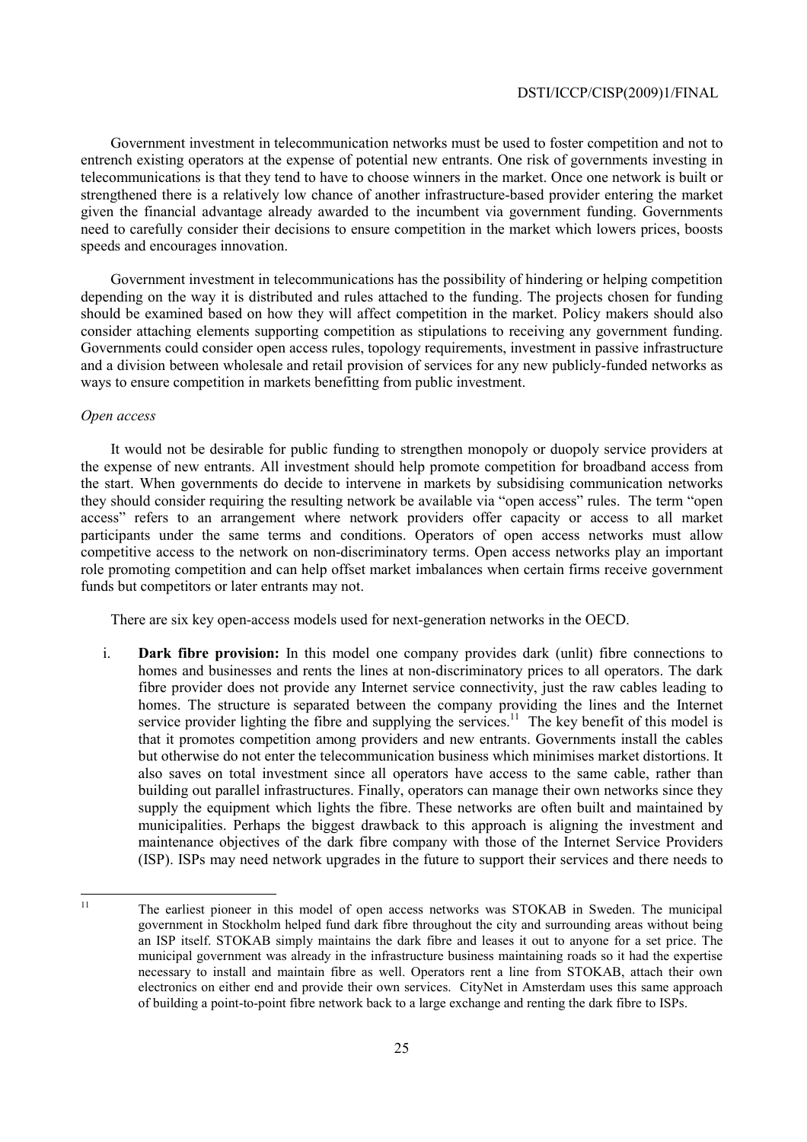Government investment in telecommunication networks must be used to foster competition and not to entrench existing operators at the expense of potential new entrants. One risk of governments investing in telecommunications is that they tend to have to choose winners in the market. Once one network is built or strengthened there is a relatively low chance of another infrastructure-based provider entering the market given the financial advantage already awarded to the incumbent via government funding. Governments need to carefully consider their decisions to ensure competition in the market which lowers prices, boosts speeds and encourages innovation.

Government investment in telecommunications has the possibility of hindering or helping competition depending on the way it is distributed and rules attached to the funding. The projects chosen for funding should be examined based on how they will affect competition in the market. Policy makers should also consider attaching elements supporting competition as stipulations to receiving any government funding. Governments could consider open access rules, topology requirements, investment in passive infrastructure and a division between wholesale and retail provision of services for any new publicly-funded networks as ways to ensure competition in markets benefitting from public investment.

## *Open access*

It would not be desirable for public funding to strengthen monopoly or duopoly service providers at the expense of new entrants. All investment should help promote competition for broadband access from the start. When governments do decide to intervene in markets by subsidising communication networks they should consider requiring the resulting network be available via "open access" rules. The term "open access" refers to an arrangement where network providers offer capacity or access to all market participants under the same terms and conditions. Operators of open access networks must allow competitive access to the network on non-discriminatory terms. Open access networks play an important role promoting competition and can help offset market imbalances when certain firms receive government funds but competitors or later entrants may not.

There are six key open-access models used for next-generation networks in the OECD.

i. **Dark fibre provision:** In this model one company provides dark (unlit) fibre connections to homes and businesses and rents the lines at non-discriminatory prices to all operators. The dark fibre provider does not provide any Internet service connectivity, just the raw cables leading to homes. The structure is separated between the company providing the lines and the Internet service provider lighting the fibre and supplying the services.<sup>11</sup> The key benefit of this model is that it promotes competition among providers and new entrants. Governments install the cables but otherwise do not enter the telecommunication business which minimises market distortions. It also saves on total investment since all operators have access to the same cable, rather than building out parallel infrastructures. Finally, operators can manage their own networks since they supply the equipment which lights the fibre. These networks are often built and maintained by municipalities. Perhaps the biggest drawback to this approach is aligning the investment and maintenance objectives of the dark fibre company with those of the Internet Service Providers (ISP). ISPs may need network upgrades in the future to support their services and there needs to

 $11$ 11 The earliest pioneer in this model of open access networks was STOKAB in Sweden. The municipal government in Stockholm helped fund dark fibre throughout the city and surrounding areas without being an ISP itself. STOKAB simply maintains the dark fibre and leases it out to anyone for a set price. The municipal government was already in the infrastructure business maintaining roads so it had the expertise necessary to install and maintain fibre as well. Operators rent a line from STOKAB, attach their own electronics on either end and provide their own services. CityNet in Amsterdam uses this same approach of building a point-to-point fibre network back to a large exchange and renting the dark fibre to ISPs.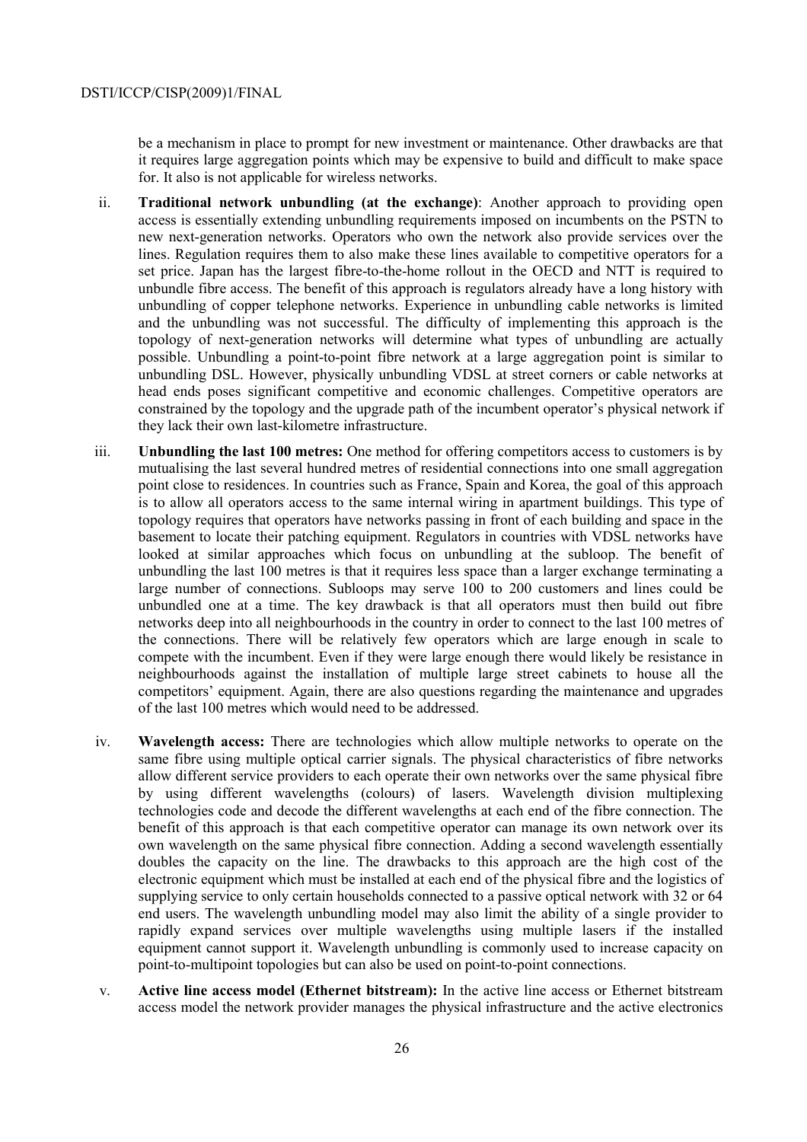be a mechanism in place to prompt for new investment or maintenance. Other drawbacks are that it requires large aggregation points which may be expensive to build and difficult to make space for. It also is not applicable for wireless networks.

- ii. **Traditional network unbundling (at the exchange)**: Another approach to providing open access is essentially extending unbundling requirements imposed on incumbents on the PSTN to new next-generation networks. Operators who own the network also provide services over the lines. Regulation requires them to also make these lines available to competitive operators for a set price. Japan has the largest fibre-to-the-home rollout in the OECD and NTT is required to unbundle fibre access. The benefit of this approach is regulators already have a long history with unbundling of copper telephone networks. Experience in unbundling cable networks is limited and the unbundling was not successful. The difficulty of implementing this approach is the topology of next-generation networks will determine what types of unbundling are actually possible. Unbundling a point-to-point fibre network at a large aggregation point is similar to unbundling DSL. However, physically unbundling VDSL at street corners or cable networks at head ends poses significant competitive and economic challenges. Competitive operators are constrained by the topology and the upgrade path of the incumbent operator's physical network if they lack their own last-kilometre infrastructure.
- iii. **Unbundling the last 100 metres:** One method for offering competitors access to customers is by mutualising the last several hundred metres of residential connections into one small aggregation point close to residences. In countries such as France, Spain and Korea, the goal of this approach is to allow all operators access to the same internal wiring in apartment buildings. This type of topology requires that operators have networks passing in front of each building and space in the basement to locate their patching equipment. Regulators in countries with VDSL networks have looked at similar approaches which focus on unbundling at the subloop. The benefit of unbundling the last 100 metres is that it requires less space than a larger exchange terminating a large number of connections. Subloops may serve 100 to 200 customers and lines could be unbundled one at a time. The key drawback is that all operators must then build out fibre networks deep into all neighbourhoods in the country in order to connect to the last 100 metres of the connections. There will be relatively few operators which are large enough in scale to compete with the incumbent. Even if they were large enough there would likely be resistance in neighbourhoods against the installation of multiple large street cabinets to house all the competitors' equipment. Again, there are also questions regarding the maintenance and upgrades of the last 100 metres which would need to be addressed.
- iv. **Wavelength access:** There are technologies which allow multiple networks to operate on the same fibre using multiple optical carrier signals. The physical characteristics of fibre networks allow different service providers to each operate their own networks over the same physical fibre by using different wavelengths (colours) of lasers. Wavelength division multiplexing technologies code and decode the different wavelengths at each end of the fibre connection. The benefit of this approach is that each competitive operator can manage its own network over its own wavelength on the same physical fibre connection. Adding a second wavelength essentially doubles the capacity on the line. The drawbacks to this approach are the high cost of the electronic equipment which must be installed at each end of the physical fibre and the logistics of supplying service to only certain households connected to a passive optical network with 32 or 64 end users. The wavelength unbundling model may also limit the ability of a single provider to rapidly expand services over multiple wavelengths using multiple lasers if the installed equipment cannot support it. Wavelength unbundling is commonly used to increase capacity on point-to-multipoint topologies but can also be used on point-to-point connections.
- v. **Active line access model (Ethernet bitstream):** In the active line access or Ethernet bitstream access model the network provider manages the physical infrastructure and the active electronics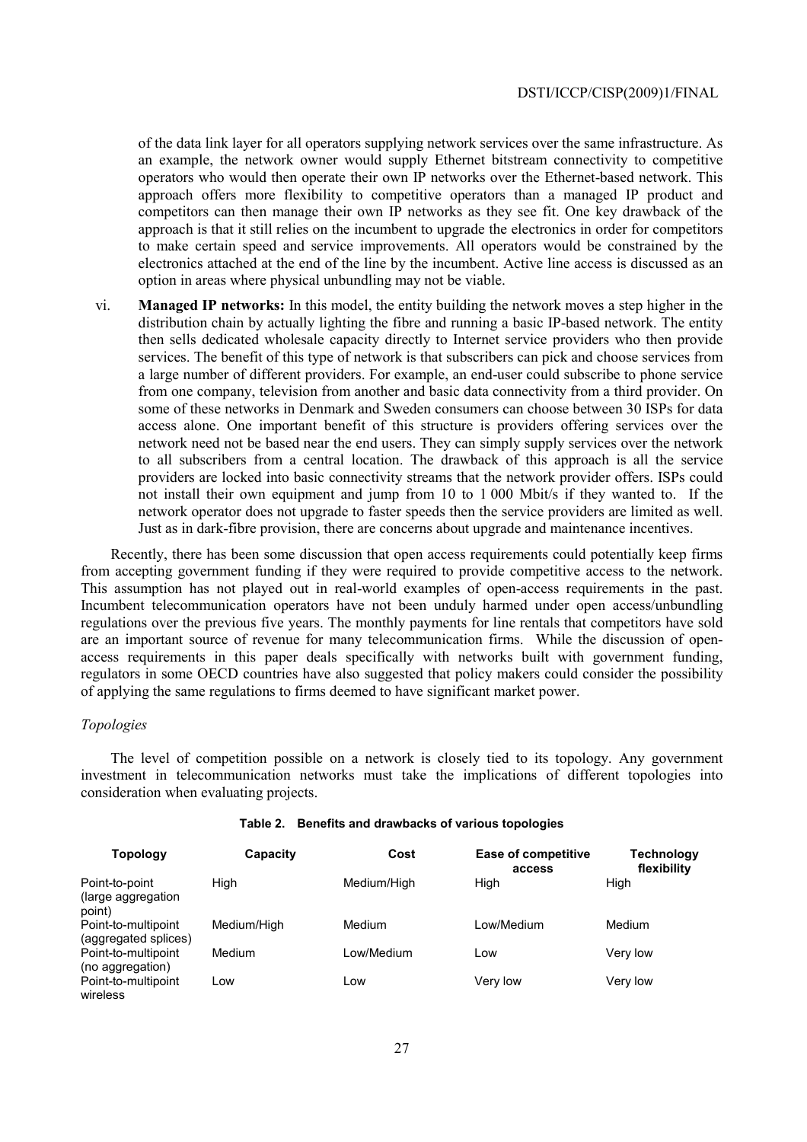of the data link layer for all operators supplying network services over the same infrastructure. As an example, the network owner would supply Ethernet bitstream connectivity to competitive operators who would then operate their own IP networks over the Ethernet-based network. This approach offers more flexibility to competitive operators than a managed IP product and competitors can then manage their own IP networks as they see fit. One key drawback of the approach is that it still relies on the incumbent to upgrade the electronics in order for competitors to make certain speed and service improvements. All operators would be constrained by the electronics attached at the end of the line by the incumbent. Active line access is discussed as an option in areas where physical unbundling may not be viable.

vi. **Managed IP networks:** In this model, the entity building the network moves a step higher in the distribution chain by actually lighting the fibre and running a basic IP-based network. The entity then sells dedicated wholesale capacity directly to Internet service providers who then provide services. The benefit of this type of network is that subscribers can pick and choose services from a large number of different providers. For example, an end-user could subscribe to phone service from one company, television from another and basic data connectivity from a third provider. On some of these networks in Denmark and Sweden consumers can choose between 30 ISPs for data access alone. One important benefit of this structure is providers offering services over the network need not be based near the end users. They can simply supply services over the network to all subscribers from a central location. The drawback of this approach is all the service providers are locked into basic connectivity streams that the network provider offers. ISPs could not install their own equipment and jump from 10 to 1 000 Mbit/s if they wanted to. If the network operator does not upgrade to faster speeds then the service providers are limited as well. Just as in dark-fibre provision, there are concerns about upgrade and maintenance incentives.

Recently, there has been some discussion that open access requirements could potentially keep firms from accepting government funding if they were required to provide competitive access to the network. This assumption has not played out in real-world examples of open-access requirements in the past. Incumbent telecommunication operators have not been unduly harmed under open access/unbundling regulations over the previous five years. The monthly payments for line rentals that competitors have sold are an important source of revenue for many telecommunication firms. While the discussion of openaccess requirements in this paper deals specifically with networks built with government funding, regulators in some OECD countries have also suggested that policy makers could consider the possibility of applying the same regulations to firms deemed to have significant market power.

## *Topologies*

The level of competition possible on a network is closely tied to its topology. Any government investment in telecommunication networks must take the implications of different topologies into consideration when evaluating projects.

| <b>Topology</b>                                 | Capacity    | Cost        | <b>Ease of competitive</b><br>access | <b>Technology</b><br>flexibility |
|-------------------------------------------------|-------------|-------------|--------------------------------------|----------------------------------|
| Point-to-point<br>(large aggregation)<br>point) | High        | Medium/High | High                                 | High                             |
| Point-to-multipoint<br>(aggregated splices)     | Medium/High | Medium      | Low/Medium                           | Medium                           |
| Point-to-multipoint<br>(no aggregation)         | Medium      | Low/Medium  | Low                                  | Very low                         |
| Point-to-multipoint<br>wireless                 | Low         | Low         | Very low                             | Very low                         |

#### **Table 2. Benefits and drawbacks of various topologies**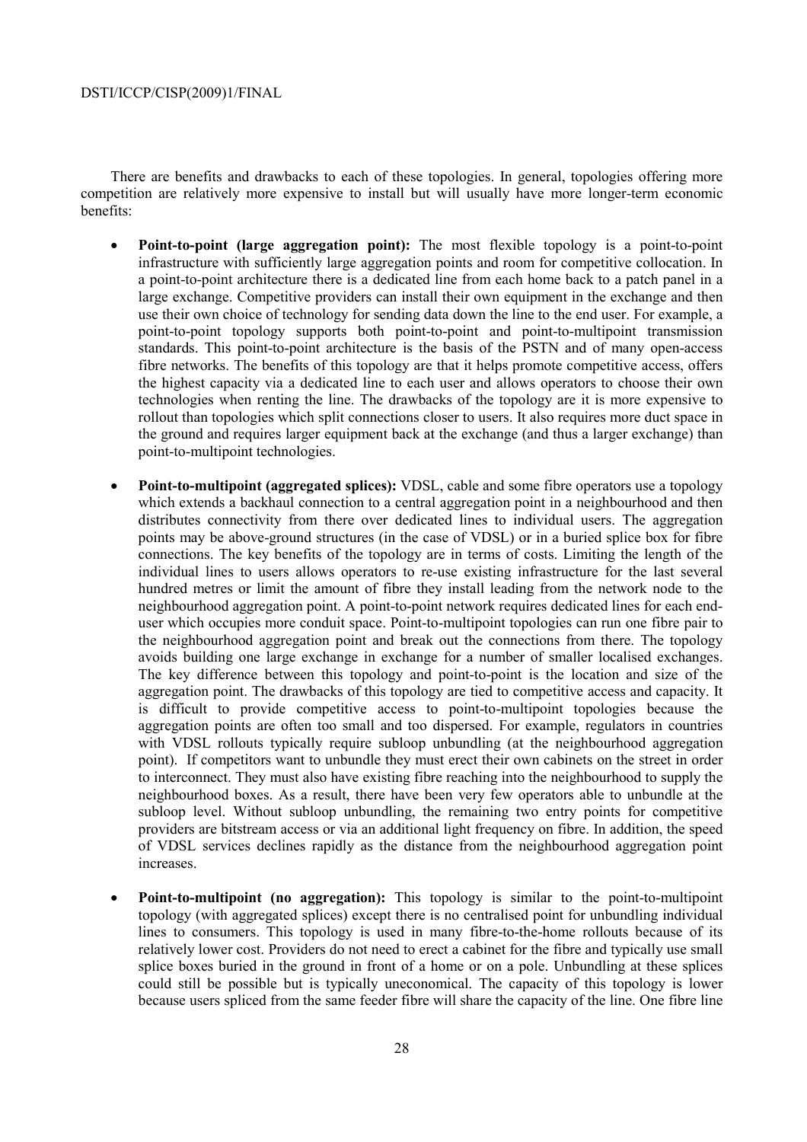There are benefits and drawbacks to each of these topologies. In general, topologies offering more competition are relatively more expensive to install but will usually have more longer-term economic benefits:

- **Point-to-point (large aggregation point):** The most flexible topology is a point-to-point infrastructure with sufficiently large aggregation points and room for competitive collocation. In a point-to-point architecture there is a dedicated line from each home back to a patch panel in a large exchange. Competitive providers can install their own equipment in the exchange and then use their own choice of technology for sending data down the line to the end user. For example, a point-to-point topology supports both point-to-point and point-to-multipoint transmission standards. This point-to-point architecture is the basis of the PSTN and of many open-access fibre networks. The benefits of this topology are that it helps promote competitive access, offers the highest capacity via a dedicated line to each user and allows operators to choose their own technologies when renting the line. The drawbacks of the topology are it is more expensive to rollout than topologies which split connections closer to users. It also requires more duct space in the ground and requires larger equipment back at the exchange (and thus a larger exchange) than point-to-multipoint technologies.
- **Point-to-multipoint (aggregated splices):** VDSL, cable and some fibre operators use a topology which extends a backhaul connection to a central aggregation point in a neighbourhood and then distributes connectivity from there over dedicated lines to individual users. The aggregation points may be above-ground structures (in the case of VDSL) or in a buried splice box for fibre connections. The key benefits of the topology are in terms of costs. Limiting the length of the individual lines to users allows operators to re-use existing infrastructure for the last several hundred metres or limit the amount of fibre they install leading from the network node to the neighbourhood aggregation point. A point-to-point network requires dedicated lines for each enduser which occupies more conduit space. Point-to-multipoint topologies can run one fibre pair to the neighbourhood aggregation point and break out the connections from there. The topology avoids building one large exchange in exchange for a number of smaller localised exchanges. The key difference between this topology and point-to-point is the location and size of the aggregation point. The drawbacks of this topology are tied to competitive access and capacity. It is difficult to provide competitive access to point-to-multipoint topologies because the aggregation points are often too small and too dispersed. For example, regulators in countries with VDSL rollouts typically require subloop unbundling (at the neighbourhood aggregation point). If competitors want to unbundle they must erect their own cabinets on the street in order to interconnect. They must also have existing fibre reaching into the neighbourhood to supply the neighbourhood boxes. As a result, there have been very few operators able to unbundle at the subloop level. Without subloop unbundling, the remaining two entry points for competitive providers are bitstream access or via an additional light frequency on fibre. In addition, the speed of VDSL services declines rapidly as the distance from the neighbourhood aggregation point increases.
- **Point-to-multipoint (no aggregation):** This topology is similar to the point-to-multipoint topology (with aggregated splices) except there is no centralised point for unbundling individual lines to consumers. This topology is used in many fibre-to-the-home rollouts because of its relatively lower cost. Providers do not need to erect a cabinet for the fibre and typically use small splice boxes buried in the ground in front of a home or on a pole. Unbundling at these splices could still be possible but is typically uneconomical. The capacity of this topology is lower because users spliced from the same feeder fibre will share the capacity of the line. One fibre line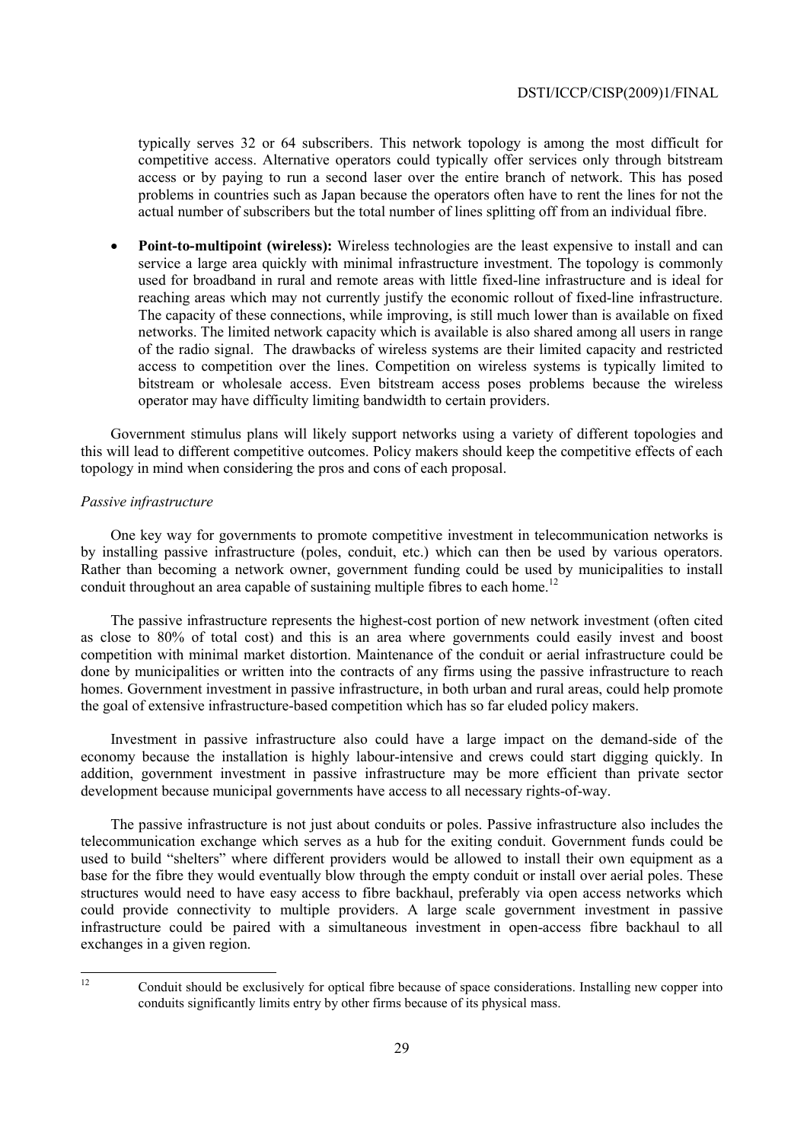typically serves 32 or 64 subscribers. This network topology is among the most difficult for competitive access. Alternative operators could typically offer services only through bitstream access or by paying to run a second laser over the entire branch of network. This has posed problems in countries such as Japan because the operators often have to rent the lines for not the actual number of subscribers but the total number of lines splitting off from an individual fibre.

• **Point-to-multipoint (wireless):** Wireless technologies are the least expensive to install and can service a large area quickly with minimal infrastructure investment. The topology is commonly used for broadband in rural and remote areas with little fixed-line infrastructure and is ideal for reaching areas which may not currently justify the economic rollout of fixed-line infrastructure. The capacity of these connections, while improving, is still much lower than is available on fixed networks. The limited network capacity which is available is also shared among all users in range of the radio signal. The drawbacks of wireless systems are their limited capacity and restricted access to competition over the lines. Competition on wireless systems is typically limited to bitstream or wholesale access. Even bitstream access poses problems because the wireless operator may have difficulty limiting bandwidth to certain providers.

Government stimulus plans will likely support networks using a variety of different topologies and this will lead to different competitive outcomes. Policy makers should keep the competitive effects of each topology in mind when considering the pros and cons of each proposal.

## *Passive infrastructure*

One key way for governments to promote competitive investment in telecommunication networks is by installing passive infrastructure (poles, conduit, etc.) which can then be used by various operators. Rather than becoming a network owner, government funding could be used by municipalities to install conduit throughout an area capable of sustaining multiple fibres to each home.<sup>12</sup>

The passive infrastructure represents the highest-cost portion of new network investment (often cited as close to 80% of total cost) and this is an area where governments could easily invest and boost competition with minimal market distortion. Maintenance of the conduit or aerial infrastructure could be done by municipalities or written into the contracts of any firms using the passive infrastructure to reach homes. Government investment in passive infrastructure, in both urban and rural areas, could help promote the goal of extensive infrastructure-based competition which has so far eluded policy makers.

Investment in passive infrastructure also could have a large impact on the demand-side of the economy because the installation is highly labour-intensive and crews could start digging quickly. In addition, government investment in passive infrastructure may be more efficient than private sector development because municipal governments have access to all necessary rights-of-way.

The passive infrastructure is not just about conduits or poles. Passive infrastructure also includes the telecommunication exchange which serves as a hub for the exiting conduit. Government funds could be used to build "shelters" where different providers would be allowed to install their own equipment as a base for the fibre they would eventually blow through the empty conduit or install over aerial poles. These structures would need to have easy access to fibre backhaul, preferably via open access networks which could provide connectivity to multiple providers. A large scale government investment in passive infrastructure could be paired with a simultaneous investment in open-access fibre backhaul to all exchanges in a given region.

 $12$ 

<sup>12</sup> Conduit should be exclusively for optical fibre because of space considerations. Installing new copper into conduits significantly limits entry by other firms because of its physical mass.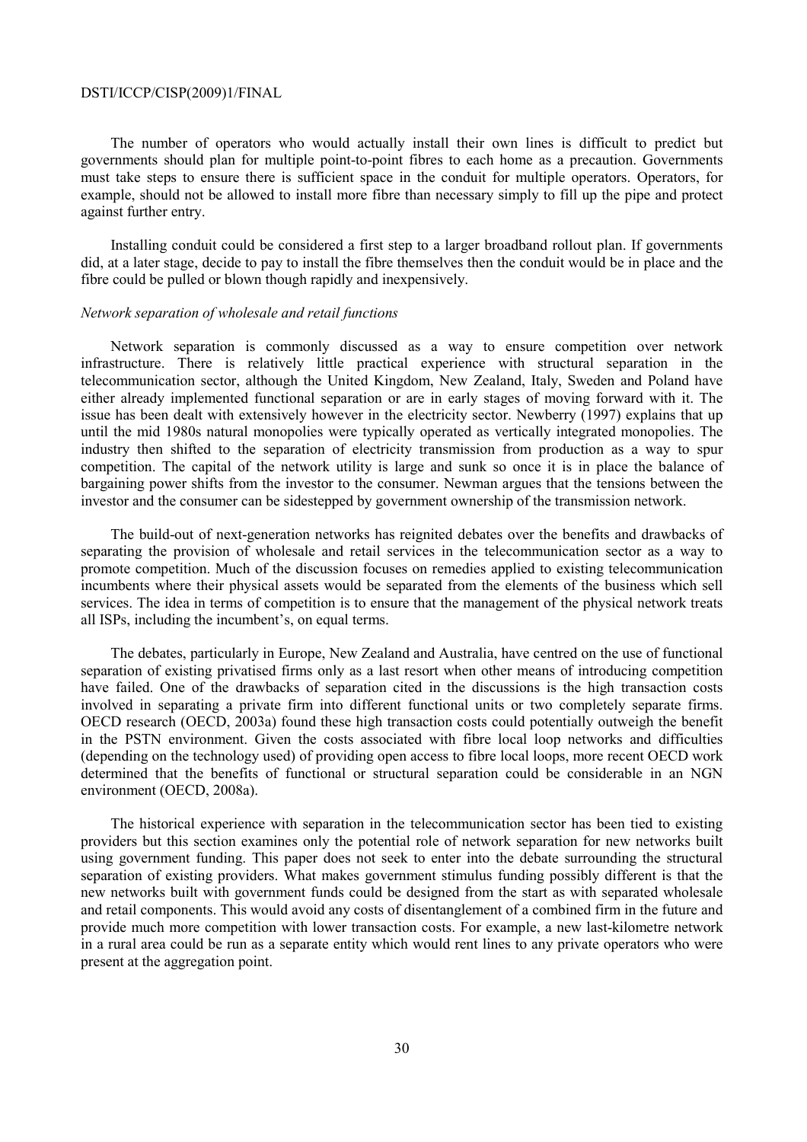The number of operators who would actually install their own lines is difficult to predict but governments should plan for multiple point-to-point fibres to each home as a precaution. Governments must take steps to ensure there is sufficient space in the conduit for multiple operators. Operators, for example, should not be allowed to install more fibre than necessary simply to fill up the pipe and protect against further entry.

Installing conduit could be considered a first step to a larger broadband rollout plan. If governments did, at a later stage, decide to pay to install the fibre themselves then the conduit would be in place and the fibre could be pulled or blown though rapidly and inexpensively.

## *Network separation of wholesale and retail functions*

Network separation is commonly discussed as a way to ensure competition over network infrastructure. There is relatively little practical experience with structural separation in the telecommunication sector, although the United Kingdom, New Zealand, Italy, Sweden and Poland have either already implemented functional separation or are in early stages of moving forward with it. The issue has been dealt with extensively however in the electricity sector. Newberry (1997) explains that up until the mid 1980s natural monopolies were typically operated as vertically integrated monopolies. The industry then shifted to the separation of electricity transmission from production as a way to spur competition. The capital of the network utility is large and sunk so once it is in place the balance of bargaining power shifts from the investor to the consumer. Newman argues that the tensions between the investor and the consumer can be sidestepped by government ownership of the transmission network.

The build-out of next-generation networks has reignited debates over the benefits and drawbacks of separating the provision of wholesale and retail services in the telecommunication sector as a way to promote competition. Much of the discussion focuses on remedies applied to existing telecommunication incumbents where their physical assets would be separated from the elements of the business which sell services. The idea in terms of competition is to ensure that the management of the physical network treats all ISPs, including the incumbent's, on equal terms.

The debates, particularly in Europe, New Zealand and Australia, have centred on the use of functional separation of existing privatised firms only as a last resort when other means of introducing competition have failed. One of the drawbacks of separation cited in the discussions is the high transaction costs involved in separating a private firm into different functional units or two completely separate firms. OECD research (OECD, 2003a) found these high transaction costs could potentially outweigh the benefit in the PSTN environment. Given the costs associated with fibre local loop networks and difficulties (depending on the technology used) of providing open access to fibre local loops, more recent OECD work determined that the benefits of functional or structural separation could be considerable in an NGN environment (OECD, 2008a).

The historical experience with separation in the telecommunication sector has been tied to existing providers but this section examines only the potential role of network separation for new networks built using government funding. This paper does not seek to enter into the debate surrounding the structural separation of existing providers. What makes government stimulus funding possibly different is that the new networks built with government funds could be designed from the start as with separated wholesale and retail components. This would avoid any costs of disentanglement of a combined firm in the future and provide much more competition with lower transaction costs. For example, a new last-kilometre network in a rural area could be run as a separate entity which would rent lines to any private operators who were present at the aggregation point.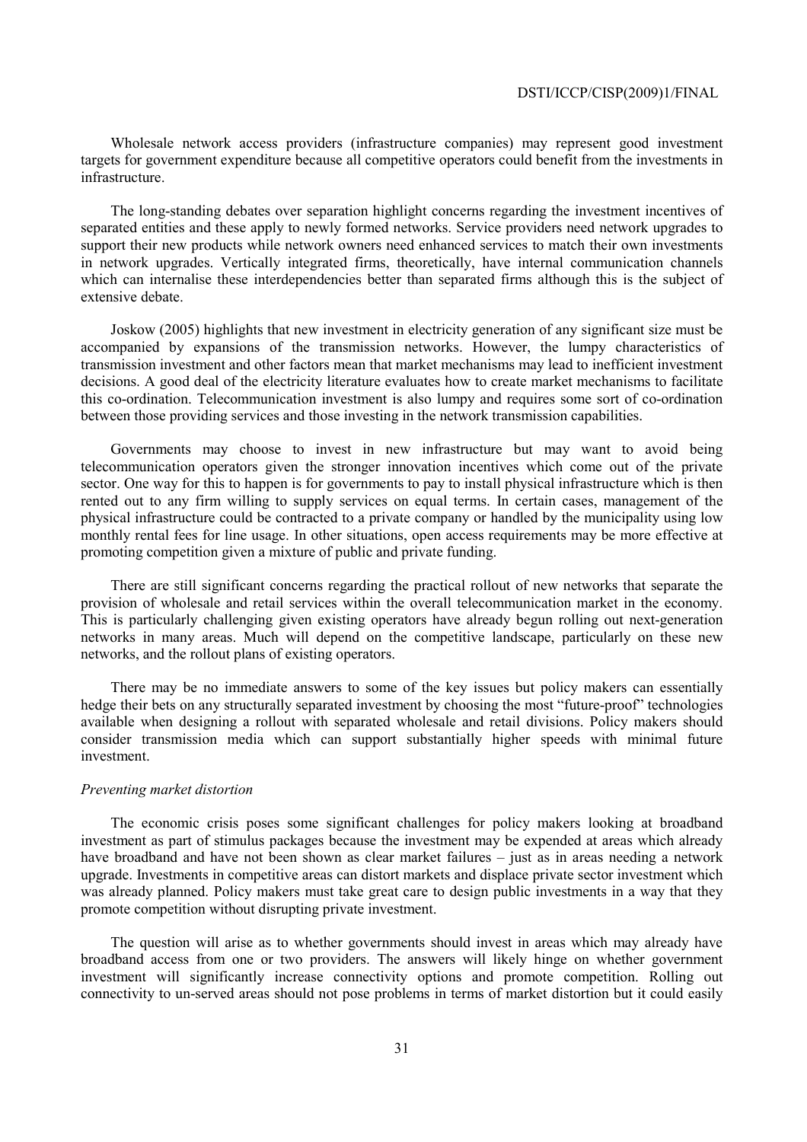Wholesale network access providers (infrastructure companies) may represent good investment targets for government expenditure because all competitive operators could benefit from the investments in infrastructure.

The long-standing debates over separation highlight concerns regarding the investment incentives of separated entities and these apply to newly formed networks. Service providers need network upgrades to support their new products while network owners need enhanced services to match their own investments in network upgrades. Vertically integrated firms, theoretically, have internal communication channels which can internalise these interdependencies better than separated firms although this is the subject of extensive debate.

Joskow (2005) highlights that new investment in electricity generation of any significant size must be accompanied by expansions of the transmission networks. However, the lumpy characteristics of transmission investment and other factors mean that market mechanisms may lead to inefficient investment decisions. A good deal of the electricity literature evaluates how to create market mechanisms to facilitate this co-ordination. Telecommunication investment is also lumpy and requires some sort of co-ordination between those providing services and those investing in the network transmission capabilities.

Governments may choose to invest in new infrastructure but may want to avoid being telecommunication operators given the stronger innovation incentives which come out of the private sector. One way for this to happen is for governments to pay to install physical infrastructure which is then rented out to any firm willing to supply services on equal terms. In certain cases, management of the physical infrastructure could be contracted to a private company or handled by the municipality using low monthly rental fees for line usage. In other situations, open access requirements may be more effective at promoting competition given a mixture of public and private funding.

There are still significant concerns regarding the practical rollout of new networks that separate the provision of wholesale and retail services within the overall telecommunication market in the economy. This is particularly challenging given existing operators have already begun rolling out next-generation networks in many areas. Much will depend on the competitive landscape, particularly on these new networks, and the rollout plans of existing operators.

There may be no immediate answers to some of the key issues but policy makers can essentially hedge their bets on any structurally separated investment by choosing the most "future-proof" technologies available when designing a rollout with separated wholesale and retail divisions. Policy makers should consider transmission media which can support substantially higher speeds with minimal future investment.

#### *Preventing market distortion*

The economic crisis poses some significant challenges for policy makers looking at broadband investment as part of stimulus packages because the investment may be expended at areas which already have broadband and have not been shown as clear market failures – just as in areas needing a network upgrade. Investments in competitive areas can distort markets and displace private sector investment which was already planned. Policy makers must take great care to design public investments in a way that they promote competition without disrupting private investment.

The question will arise as to whether governments should invest in areas which may already have broadband access from one or two providers. The answers will likely hinge on whether government investment will significantly increase connectivity options and promote competition. Rolling out connectivity to un-served areas should not pose problems in terms of market distortion but it could easily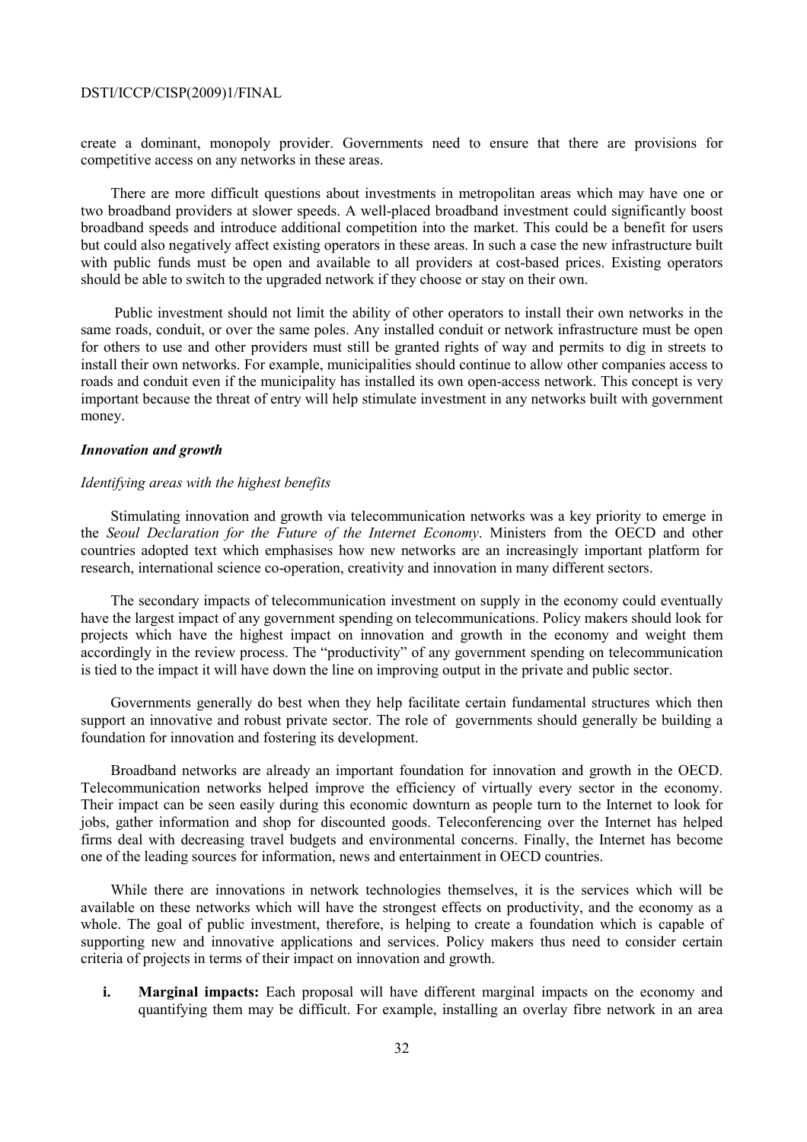create a dominant, monopoly provider. Governments need to ensure that there are provisions for competitive access on any networks in these areas.

There are more difficult questions about investments in metropolitan areas which may have one or two broadband providers at slower speeds. A well-placed broadband investment could significantly boost broadband speeds and introduce additional competition into the market. This could be a benefit for users but could also negatively affect existing operators in these areas. In such a case the new infrastructure built with public funds must be open and available to all providers at cost-based prices. Existing operators should be able to switch to the upgraded network if they choose or stay on their own.

 Public investment should not limit the ability of other operators to install their own networks in the same roads, conduit, or over the same poles. Any installed conduit or network infrastructure must be open for others to use and other providers must still be granted rights of way and permits to dig in streets to install their own networks. For example, municipalities should continue to allow other companies access to roads and conduit even if the municipality has installed its own open-access network. This concept is very important because the threat of entry will help stimulate investment in any networks built with government money.

## *Innovation and growth*

## *Identifying areas with the highest benefits*

Stimulating innovation and growth via telecommunication networks was a key priority to emerge in the *Seoul Declaration for the Future of the Internet Economy*. Ministers from the OECD and other countries adopted text which emphasises how new networks are an increasingly important platform for research, international science co-operation, creativity and innovation in many different sectors.

The secondary impacts of telecommunication investment on supply in the economy could eventually have the largest impact of any government spending on telecommunications. Policy makers should look for projects which have the highest impact on innovation and growth in the economy and weight them accordingly in the review process. The "productivity" of any government spending on telecommunication is tied to the impact it will have down the line on improving output in the private and public sector.

Governments generally do best when they help facilitate certain fundamental structures which then support an innovative and robust private sector. The role of governments should generally be building a foundation for innovation and fostering its development.

Broadband networks are already an important foundation for innovation and growth in the OECD. Telecommunication networks helped improve the efficiency of virtually every sector in the economy. Their impact can be seen easily during this economic downturn as people turn to the Internet to look for jobs, gather information and shop for discounted goods. Teleconferencing over the Internet has helped firms deal with decreasing travel budgets and environmental concerns. Finally, the Internet has become one of the leading sources for information, news and entertainment in OECD countries.

While there are innovations in network technologies themselves, it is the services which will be available on these networks which will have the strongest effects on productivity, and the economy as a whole. The goal of public investment, therefore, is helping to create a foundation which is capable of supporting new and innovative applications and services. Policy makers thus need to consider certain criteria of projects in terms of their impact on innovation and growth.

**i. Marginal impacts:** Each proposal will have different marginal impacts on the economy and quantifying them may be difficult. For example, installing an overlay fibre network in an area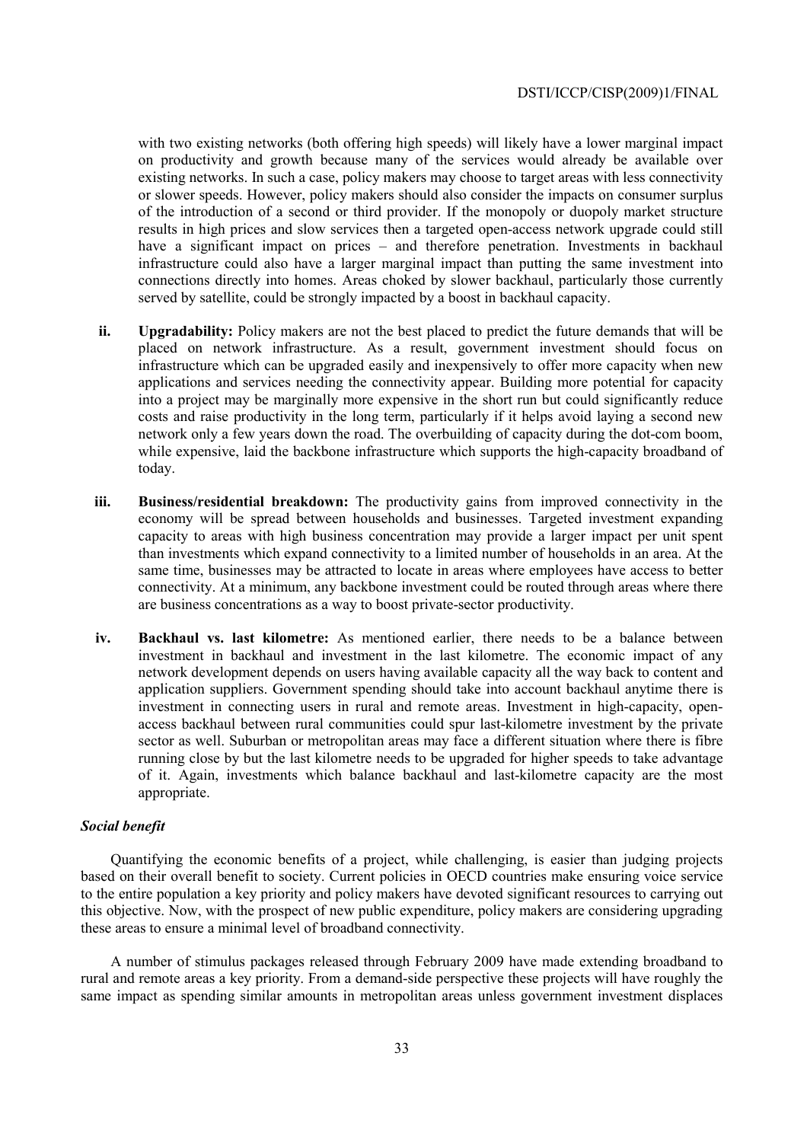with two existing networks (both offering high speeds) will likely have a lower marginal impact on productivity and growth because many of the services would already be available over existing networks. In such a case, policy makers may choose to target areas with less connectivity or slower speeds. However, policy makers should also consider the impacts on consumer surplus of the introduction of a second or third provider. If the monopoly or duopoly market structure results in high prices and slow services then a targeted open-access network upgrade could still have a significant impact on prices – and therefore penetration. Investments in backhaul infrastructure could also have a larger marginal impact than putting the same investment into connections directly into homes. Areas choked by slower backhaul, particularly those currently served by satellite, could be strongly impacted by a boost in backhaul capacity.

- **ii. Upgradability:** Policy makers are not the best placed to predict the future demands that will be placed on network infrastructure. As a result, government investment should focus on infrastructure which can be upgraded easily and inexpensively to offer more capacity when new applications and services needing the connectivity appear. Building more potential for capacity into a project may be marginally more expensive in the short run but could significantly reduce costs and raise productivity in the long term, particularly if it helps avoid laying a second new network only a few years down the road. The overbuilding of capacity during the dot-com boom, while expensive, laid the backbone infrastructure which supports the high-capacity broadband of today.
- **iii. Business/residential breakdown:** The productivity gains from improved connectivity in the economy will be spread between households and businesses. Targeted investment expanding capacity to areas with high business concentration may provide a larger impact per unit spent than investments which expand connectivity to a limited number of households in an area. At the same time, businesses may be attracted to locate in areas where employees have access to better connectivity. At a minimum, any backbone investment could be routed through areas where there are business concentrations as a way to boost private-sector productivity.
- **iv. Backhaul vs. last kilometre:** As mentioned earlier, there needs to be a balance between investment in backhaul and investment in the last kilometre. The economic impact of any network development depends on users having available capacity all the way back to content and application suppliers. Government spending should take into account backhaul anytime there is investment in connecting users in rural and remote areas. Investment in high-capacity, openaccess backhaul between rural communities could spur last-kilometre investment by the private sector as well. Suburban or metropolitan areas may face a different situation where there is fibre running close by but the last kilometre needs to be upgraded for higher speeds to take advantage of it. Again, investments which balance backhaul and last-kilometre capacity are the most appropriate.

## *Social benefit*

Quantifying the economic benefits of a project, while challenging, is easier than judging projects based on their overall benefit to society. Current policies in OECD countries make ensuring voice service to the entire population a key priority and policy makers have devoted significant resources to carrying out this objective. Now, with the prospect of new public expenditure, policy makers are considering upgrading these areas to ensure a minimal level of broadband connectivity.

A number of stimulus packages released through February 2009 have made extending broadband to rural and remote areas a key priority. From a demand-side perspective these projects will have roughly the same impact as spending similar amounts in metropolitan areas unless government investment displaces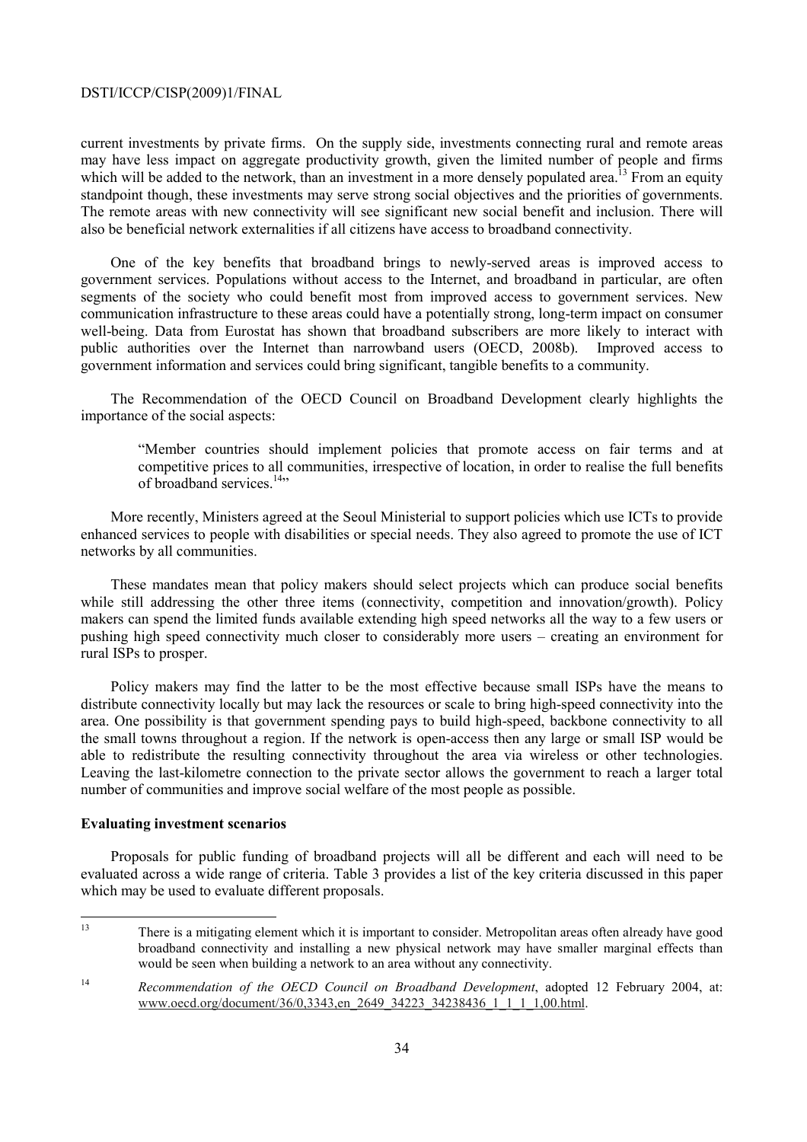current investments by private firms. On the supply side, investments connecting rural and remote areas may have less impact on aggregate productivity growth, given the limited number of people and firms which will be added to the network, than an investment in a more densely populated area.<sup>13</sup> From an equity standpoint though, these investments may serve strong social objectives and the priorities of governments. The remote areas with new connectivity will see significant new social benefit and inclusion. There will also be beneficial network externalities if all citizens have access to broadband connectivity.

One of the key benefits that broadband brings to newly-served areas is improved access to government services. Populations without access to the Internet, and broadband in particular, are often segments of the society who could benefit most from improved access to government services. New communication infrastructure to these areas could have a potentially strong, long-term impact on consumer well-being. Data from Eurostat has shown that broadband subscribers are more likely to interact with public authorities over the Internet than narrowband users (OECD, 2008b). Improved access to government information and services could bring significant, tangible benefits to a community.

The Recommendation of the OECD Council on Broadband Development clearly highlights the importance of the social aspects:

"Member countries should implement policies that promote access on fair terms and at competitive prices to all communities, irrespective of location, in order to realise the full benefits of broadband services<sup>14</sup>"

More recently, Ministers agreed at the Seoul Ministerial to support policies which use ICTs to provide enhanced services to people with disabilities or special needs. They also agreed to promote the use of ICT networks by all communities.

These mandates mean that policy makers should select projects which can produce social benefits while still addressing the other three items (connectivity, competition and innovation/growth). Policy makers can spend the limited funds available extending high speed networks all the way to a few users or pushing high speed connectivity much closer to considerably more users – creating an environment for rural ISPs to prosper.

Policy makers may find the latter to be the most effective because small ISPs have the means to distribute connectivity locally but may lack the resources or scale to bring high-speed connectivity into the area. One possibility is that government spending pays to build high-speed, backbone connectivity to all the small towns throughout a region. If the network is open-access then any large or small ISP would be able to redistribute the resulting connectivity throughout the area via wireless or other technologies. Leaving the last-kilometre connection to the private sector allows the government to reach a larger total number of communities and improve social welfare of the most people as possible.

## **Evaluating investment scenarios**

Proposals for public funding of broadband projects will all be different and each will need to be evaluated across a wide range of criteria. Table 3 provides a list of the key criteria discussed in this paper which may be used to evaluate different proposals.

 $13$ 13 There is a mitigating element which it is important to consider. Metropolitan areas often already have good broadband connectivity and installing a new physical network may have smaller marginal effects than would be seen when building a network to an area without any connectivity.

<sup>&</sup>lt;sup>14</sup> *Recommendation of the OECD Council on Broadband Development*, adopted 12 February 2004, at: www.oecd.org/document/36/0,3343,en\_2649\_34223\_34238436\_1\_1\_1\_1,00.html.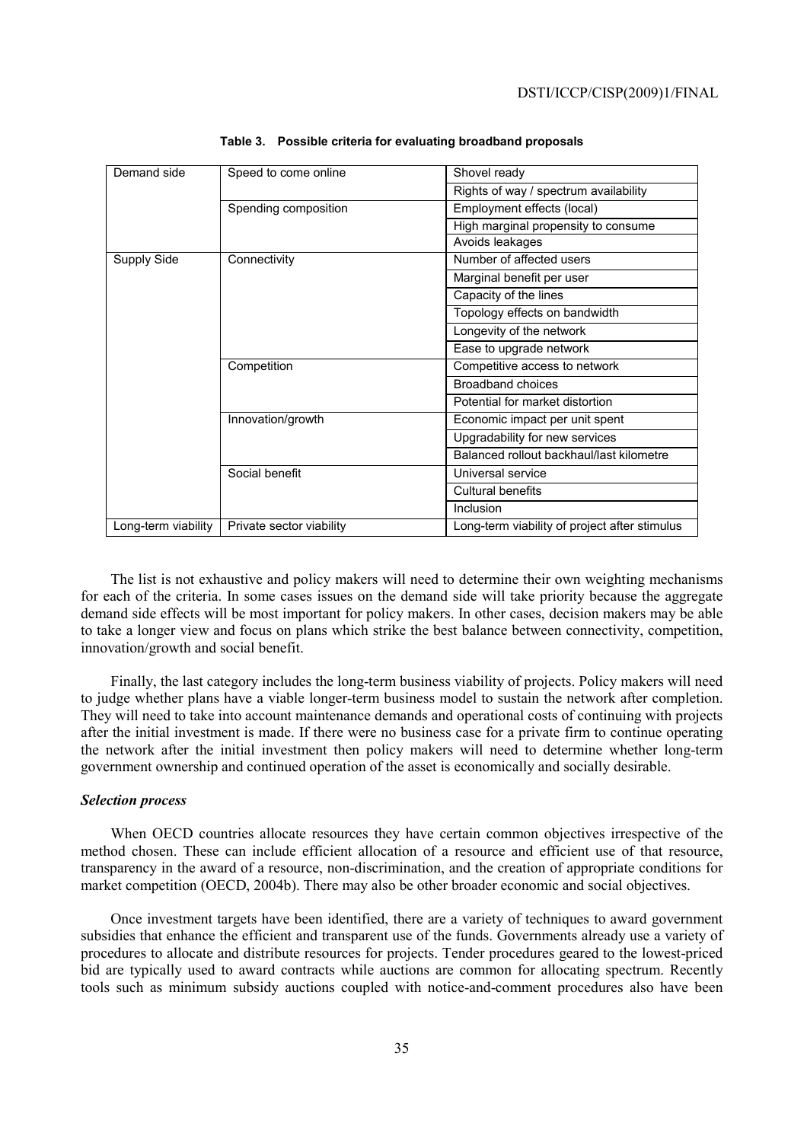| Demand side         | Speed to come online     | Shovel ready                                  |  |
|---------------------|--------------------------|-----------------------------------------------|--|
|                     |                          | Rights of way / spectrum availability         |  |
|                     | Spending composition     | Employment effects (local)                    |  |
|                     |                          | High marginal propensity to consume           |  |
|                     |                          | Avoids leakages                               |  |
| Supply Side         | Connectivity             | Number of affected users                      |  |
|                     |                          | Marginal benefit per user                     |  |
|                     |                          | Capacity of the lines                         |  |
|                     |                          | Topology effects on bandwidth                 |  |
|                     |                          | Longevity of the network                      |  |
|                     |                          | Ease to upgrade network                       |  |
|                     | Competition              | Competitive access to network                 |  |
|                     |                          | Broadband choices                             |  |
|                     |                          | Potential for market distortion               |  |
|                     | Innovation/growth        | Economic impact per unit spent                |  |
|                     |                          | Upgradability for new services                |  |
|                     |                          | Balanced rollout backhaul/last kilometre      |  |
|                     | Social benefit           | Universal service                             |  |
|                     |                          | <b>Cultural benefits</b>                      |  |
|                     |                          | Inclusion                                     |  |
| Long-term viability | Private sector viability | Long-term viability of project after stimulus |  |

**Table 3. Possible criteria for evaluating broadband proposals** 

The list is not exhaustive and policy makers will need to determine their own weighting mechanisms for each of the criteria. In some cases issues on the demand side will take priority because the aggregate demand side effects will be most important for policy makers. In other cases, decision makers may be able to take a longer view and focus on plans which strike the best balance between connectivity, competition, innovation/growth and social benefit.

Finally, the last category includes the long-term business viability of projects. Policy makers will need to judge whether plans have a viable longer-term business model to sustain the network after completion. They will need to take into account maintenance demands and operational costs of continuing with projects after the initial investment is made. If there were no business case for a private firm to continue operating the network after the initial investment then policy makers will need to determine whether long-term government ownership and continued operation of the asset is economically and socially desirable.

## *Selection process*

When OECD countries allocate resources they have certain common objectives irrespective of the method chosen. These can include efficient allocation of a resource and efficient use of that resource, transparency in the award of a resource, non-discrimination, and the creation of appropriate conditions for market competition (OECD, 2004b). There may also be other broader economic and social objectives.

Once investment targets have been identified, there are a variety of techniques to award government subsidies that enhance the efficient and transparent use of the funds. Governments already use a variety of procedures to allocate and distribute resources for projects. Tender procedures geared to the lowest-priced bid are typically used to award contracts while auctions are common for allocating spectrum. Recently tools such as minimum subsidy auctions coupled with notice-and-comment procedures also have been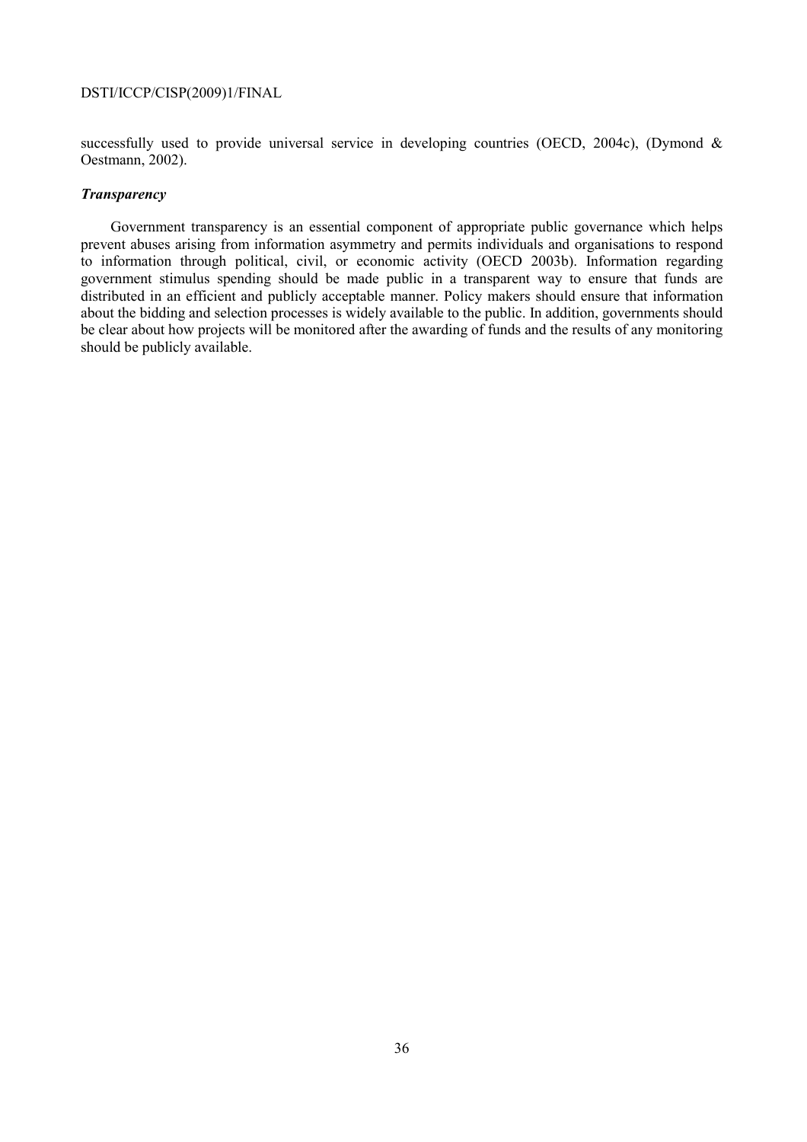successfully used to provide universal service in developing countries (OECD, 2004c), (Dymond & Oestmann, 2002).

## *Transparency*

Government transparency is an essential component of appropriate public governance which helps prevent abuses arising from information asymmetry and permits individuals and organisations to respond to information through political, civil, or economic activity (OECD 2003b). Information regarding government stimulus spending should be made public in a transparent way to ensure that funds are distributed in an efficient and publicly acceptable manner. Policy makers should ensure that information about the bidding and selection processes is widely available to the public. In addition, governments should be clear about how projects will be monitored after the awarding of funds and the results of any monitoring should be publicly available.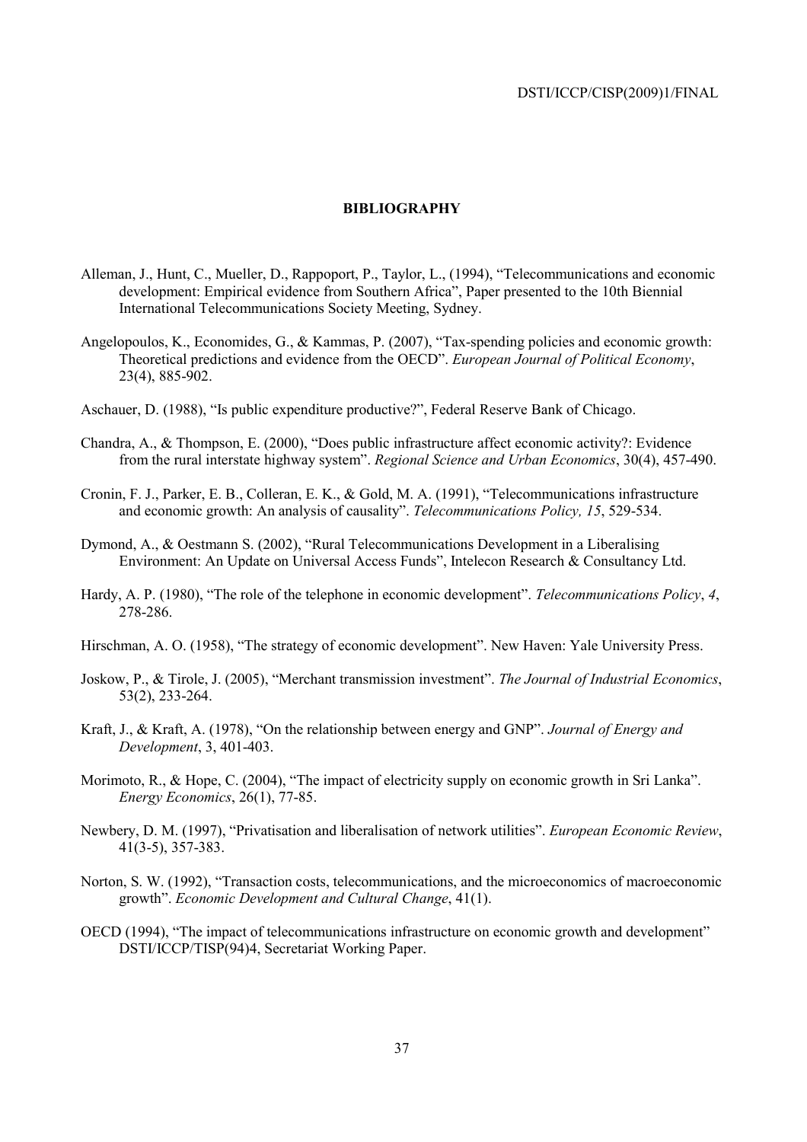## **BIBLIOGRAPHY**

- Alleman, J., Hunt, C., Mueller, D., Rappoport, P., Taylor, L., (1994), "Telecommunications and economic development: Empirical evidence from Southern Africa", Paper presented to the 10th Biennial International Telecommunications Society Meeting, Sydney.
- Angelopoulos, K., Economides, G., & Kammas, P. (2007), "Tax-spending policies and economic growth: Theoretical predictions and evidence from the OECD". *European Journal of Political Economy*, 23(4), 885-902.
- Aschauer, D. (1988), "Is public expenditure productive?", Federal Reserve Bank of Chicago.
- Chandra, A., & Thompson, E. (2000), "Does public infrastructure affect economic activity?: Evidence from the rural interstate highway system". *Regional Science and Urban Economics*, 30(4), 457-490.
- Cronin, F. J., Parker, E. B., Colleran, E. K., & Gold, M. A. (1991), "Telecommunications infrastructure and economic growth: An analysis of causality". *Telecommunications Policy, 15*, 529-534.
- Dymond, A., & Oestmann S. (2002), "Rural Telecommunications Development in a Liberalising Environment: An Update on Universal Access Funds", Intelecon Research & Consultancy Ltd.
- Hardy, A. P. (1980), "The role of the telephone in economic development". *Telecommunications Policy*, *4*, 278-286.
- Hirschman, A. O. (1958), "The strategy of economic development". New Haven: Yale University Press.
- Joskow, P., & Tirole, J. (2005), "Merchant transmission investment". *The Journal of Industrial Economics*, 53(2), 233-264.
- Kraft, J., & Kraft, A. (1978), "On the relationship between energy and GNP". *Journal of Energy and Development*, 3, 401-403.
- Morimoto, R., & Hope, C. (2004), "The impact of electricity supply on economic growth in Sri Lanka". *Energy Economics*, 26(1), 77-85.
- Newbery, D. M. (1997), "Privatisation and liberalisation of network utilities". *European Economic Review*, 41(3-5), 357-383.
- Norton, S. W. (1992), "Transaction costs, telecommunications, and the microeconomics of macroeconomic growth". *Economic Development and Cultural Change*, 41(1).
- OECD (1994), "The impact of telecommunications infrastructure on economic growth and development" DSTI/ICCP/TISP(94)4, Secretariat Working Paper.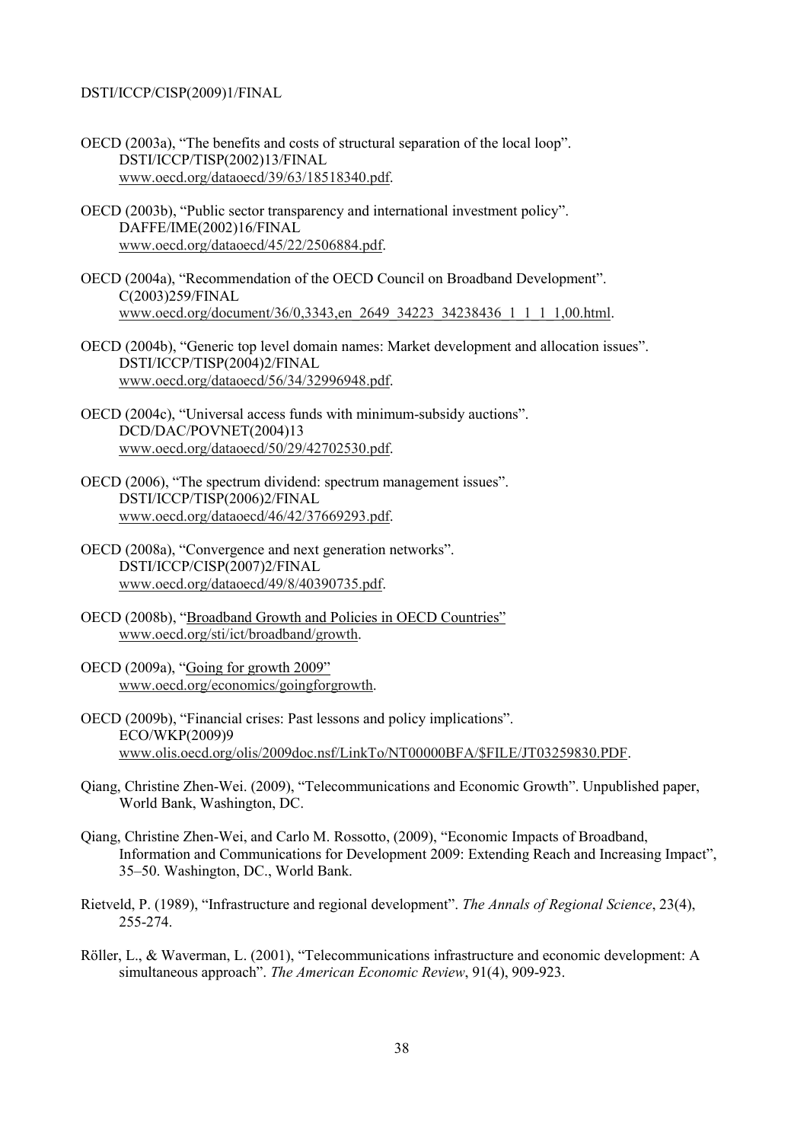- OECD (2003a), "The benefits and costs of structural separation of the local loop". DSTI/ICCP/TISP(2002)13/FINAL www.oecd.org/dataoecd/39/63/18518340.pdf.
- OECD (2003b), "Public sector transparency and international investment policy". DAFFE/IME(2002)16/FINAL www.oecd.org/dataoecd/45/22/2506884.pdf.
- OECD (2004a), "Recommendation of the OECD Council on Broadband Development". C(2003)259/FINAL www.oecd.org/document/36/0,3343,en\_2649\_34223\_34238436\_1\_1\_1\_1,00.html.
- OECD (2004b), "Generic top level domain names: Market development and allocation issues". DSTI/ICCP/TISP(2004)2/FINAL www.oecd.org/dataoecd/56/34/32996948.pdf.
- OECD (2004c), "Universal access funds with minimum-subsidy auctions". DCD/DAC/POVNET(2004)13 www.oecd.org/dataoecd/50/29/42702530.pdf.
- OECD (2006), "The spectrum dividend: spectrum management issues". DSTI/ICCP/TISP(2006)2/FINAL www.oecd.org/dataoecd/46/42/37669293.pdf.
- OECD (2008a), "Convergence and next generation networks". DSTI/ICCP/CISP(2007)2/FINAL www.oecd.org/dataoecd/49/8/40390735.pdf.
- OECD (2008b), "Broadband Growth and Policies in OECD Countries" www.oecd.org/sti/ict/broadband/growth.
- OECD (2009a), "Going for growth 2009" www.oecd.org/economics/goingforgrowth.
- OECD (2009b), "Financial crises: Past lessons and policy implications". ECO/WKP(2009)9 www.olis.oecd.org/olis/2009doc.nsf/LinkTo/NT00000BFA/\$FILE/JT03259830.PDF.
- Qiang, Christine Zhen-Wei. (2009), "Telecommunications and Economic Growth". Unpublished paper, World Bank, Washington, DC.
- Qiang, Christine Zhen-Wei, and Carlo M. Rossotto, (2009), "Economic Impacts of Broadband, Information and Communications for Development 2009: Extending Reach and Increasing Impact", 35–50. Washington, DC., World Bank.
- Rietveld, P. (1989), "Infrastructure and regional development". *The Annals of Regional Science*, 23(4), 255-274.
- Röller, L., & Waverman, L. (2001), "Telecommunications infrastructure and economic development: A simultaneous approach". *The American Economic Review*, 91(4), 909-923.